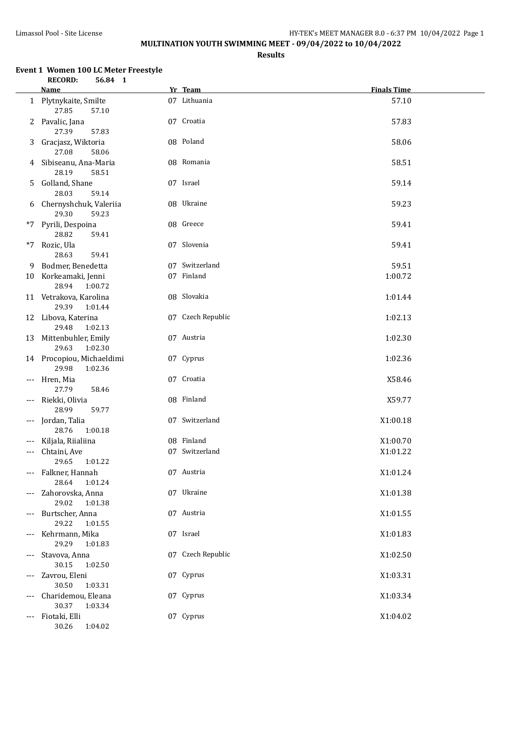**Results**

#### **Event 1 Women 100 LC Meter Freestyle RECORD: 56.84 1**

|       | <b>Name</b>                                   | Yr Team           | <b>Finals Time</b> |
|-------|-----------------------------------------------|-------------------|--------------------|
|       | 1 Plytnykaite, Smilte<br>27.85<br>57.10       | 07 Lithuania      | 57.10              |
| 2     | Pavalic, Jana<br>27.39<br>57.83               | 07 Croatia        | 57.83              |
| 3     | Gracjasz, Wiktoria<br>27.08<br>58.06          | 08 Poland         | 58.06              |
| 4     | Sibiseanu, Ana-Maria<br>28.19<br>58.51        | 08 Romania        | 58.51              |
| 5.    | Golland, Shane<br>28.03<br>59.14              | 07 Israel         | 59.14              |
| 6     | Chernyshchuk, Valeriia<br>29.30<br>59.23      | 08 Ukraine        | 59.23              |
| *7    | Pyrili, Despoina<br>28.82<br>59.41            | 08 Greece         | 59.41              |
| *7    | Rozic, Ula<br>28.63<br>59.41                  | 07 Slovenia       | 59.41              |
| 9.    | Bodmer, Benedetta                             | 07 Switzerland    | 59.51              |
|       | 10 Korkeamaki, Jenni<br>28.94<br>1:00.72      | 07 Finland        | 1:00.72            |
|       | 11 Vetrakova, Karolina<br>29.39<br>1:01.44    | 08 Slovakia       | 1:01.44            |
|       | 12 Libova, Katerina<br>29.48<br>1:02.13       | 07 Czech Republic | 1:02.13            |
| 13    | Mittenbuhler, Emily<br>29.63<br>1:02.30       | 07 Austria        | 1:02.30            |
|       | 14 Procopiou, Michaeldimi<br>29.98<br>1:02.36 | 07 Cyprus         | 1:02.36            |
| ---   | Hren, Mia<br>27.79<br>58.46                   | 07 Croatia        | X58.46             |
| $---$ | Riekki, Olivia<br>28.99<br>59.77              | 08 Finland        | X59.77             |
| ---   | Jordan, Talia<br>28.76<br>1:00.18             | 07 Switzerland    | X1:00.18           |
| ---   | Kiljala, Riialiina                            | 08 Finland        | X1:00.70           |
| ---   | Chtaini, Ave<br>29.65<br>1:01.22              | 07 Switzerland    | X1:01.22           |
|       | --- Falkner, Hannah<br>28.64<br>1:01.24       | 07 Austria        | X1:01.24           |
|       | Zahorovska, Anna<br>29.02<br>1:01.38          | 07 Ukraine        | X1:01.38           |
| ---   | Burtscher, Anna<br>29.22<br>1:01.55           | 07 Austria        | X1:01.55           |
| ---   | Kehrmann, Mika<br>29.29<br>1:01.83            | 07 Israel         | X1:01.83           |
| ---   | Stavova, Anna<br>30.15<br>1:02.50             | 07 Czech Republic | X1:02.50           |
| ---   | Zavrou, Eleni<br>30.50<br>1:03.31             | 07 Cyprus         | X1:03.31           |
| ---   | Charidemou, Eleana<br>30.37<br>1:03.34        | 07 Cyprus         | X1:03.34           |
| ---   | Fiotaki, Elli<br>30.26<br>1:04.02             | 07 Cyprus         | X1:04.02           |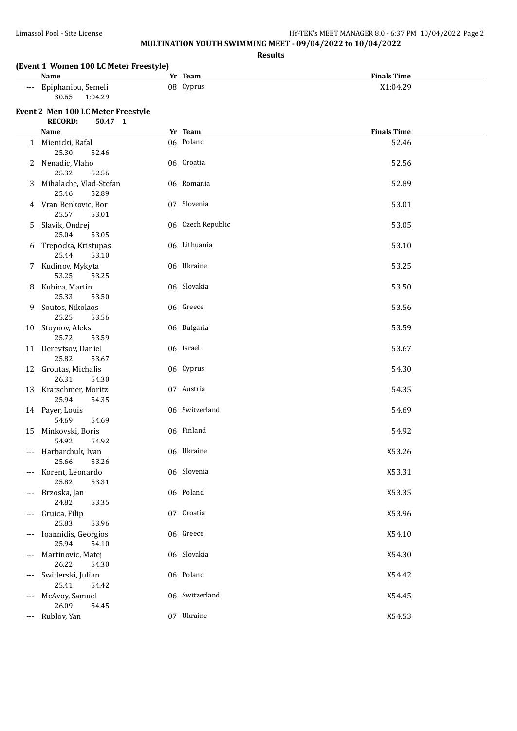# **MULTINATION YOUTH SWIMMING MEET - 09/04/2022 to 10/04/2022**

**Results**

## **(Event 1 Women 100 LC Meter Freestyle)**

| Name                        | Team<br>Yr   | <b>Finals Time</b> |
|-----------------------------|--------------|--------------------|
| Epiphaniou, Semeli<br>$---$ | 08<br>Cyprus | X1:04.29           |
| 30.65<br>1:04.29            |              |                    |

|              | Event 2 Men 100 LC Meter Freestyle<br><b>RECORD:</b><br>50.47 1 |                   |                    |
|--------------|-----------------------------------------------------------------|-------------------|--------------------|
|              | <b>Name</b>                                                     | Yr Team           | <b>Finals Time</b> |
| $\mathbf{1}$ | Mienicki, Rafal<br>25.30<br>52.46                               | 06 Poland         | 52.46              |
| 2            | Nenadic, Vlaho<br>25.32<br>52.56                                | 06 Croatia        | 52.56              |
| 3            | Mihalache, Vlad-Stefan<br>25.46<br>52.89                        | 06 Romania        | 52.89              |
| 4            | Vran Benkovic, Bor<br>25.57<br>53.01                            | 07 Slovenia       | 53.01              |
| 5            | Slavik, Ondrej<br>25.04<br>53.05                                | 06 Czech Republic | 53.05              |
| 6            | Trepocka, Kristupas<br>25.44<br>53.10                           | 06 Lithuania      | 53.10              |
| 7.           | Kudinov, Mykyta<br>53.25<br>53.25                               | 06 Ukraine        | 53.25              |
| 8            | Kubica, Martin<br>25.33<br>53.50                                | 06 Slovakia       | 53.50              |
| 9.           | Soutos, Nikolaos<br>25.25<br>53.56                              | 06 Greece         | 53.56              |
|              | 10 Stoynov, Aleks<br>25.72<br>53.59                             | 06 Bulgaria       | 53.59              |
|              | 11 Derevtsov, Daniel<br>25.82<br>53.67                          | 06 Israel         | 53.67              |
|              | 12 Groutas, Michalis<br>26.31<br>54.30                          | 06 Cyprus         | 54.30              |
| 13           | Kratschmer, Moritz<br>25.94<br>54.35                            | 07 Austria        | 54.35              |
|              | 14 Payer, Louis<br>54.69<br>54.69                               | 06 Switzerland    | 54.69              |
| 15           | Minkovski, Boris<br>54.92<br>54.92                              | 06 Finland        | 54.92              |
| $---$        | Harbarchuk, Ivan<br>25.66<br>53.26                              | 06 Ukraine        | X53.26             |
| $---$        | Korent, Leonardo<br>25.82<br>53.31                              | 06 Slovenia       | X53.31             |
| ---          | Brzoska, Jan<br>24.82<br>53.35                                  | 06 Poland         | X53.35             |
|              | Gruica, Filip<br>25.83<br>53.96                                 | 07 Croatia        | X53.96             |
|              | Ioannidis, Georgios<br>25.94<br>54.10                           | 06 Greece         | X54.10             |
| ---          | Martinovic, Matej<br>26.22<br>54.30                             | 06 Slovakia       | X54.30             |
| $---$        | Swiderski, Julian<br>25.41<br>54.42                             | 06 Poland         | X54.42             |
| ---          | McAvoy, Samuel<br>26.09<br>54.45                                | 06 Switzerland    | X54.45             |
| ---          | Rublov, Yan                                                     | 07 Ukraine        | X54.53             |
|              |                                                                 |                   |                    |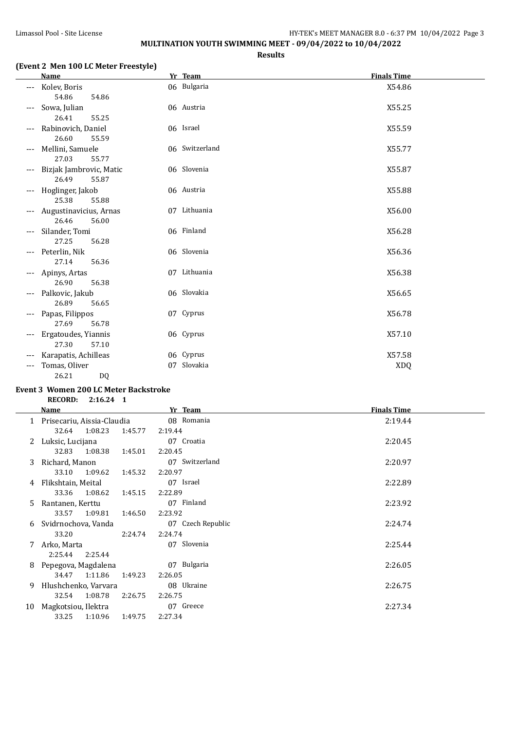## **MULTINATION YOUTH SWIMMING MEET - 09/04/2022 to 10/04/2022**

**Results**

## **(Event 2 Men 100 LC Meter Freestyle)**

|            | <b>Name</b>                               | Yr Team                  | <b>Finals Time</b>   |
|------------|-------------------------------------------|--------------------------|----------------------|
|            | Kolev, Boris<br>54.86<br>54.86            | 06 Bulgaria              | X54.86               |
| ---        | Sowa, Julian<br>26.41<br>55.25            | 06 Austria               | X55.25               |
| ---        | Rabinovich, Daniel<br>26.60<br>55.59      | 06 Israel                | X55.59               |
| ---        | Mellini, Samuele<br>27.03<br>55.77        | 06 Switzerland           | X55.77               |
| ---        | Bizjak Jambrovic, Matic<br>26.49<br>55.87 | 06 Slovenia              | X55.87               |
| ---        | Hoglinger, Jakob<br>25.38<br>55.88        | 06 Austria               | X55.88               |
|            | Augustinavicius, Arnas<br>26.46<br>56.00  | 07 Lithuania             | X56.00               |
| ---        | Silander, Tomi<br>27.25<br>56.28          | 06 Finland               | X56.28               |
| ---        | Peterlin, Nik<br>27.14<br>56.36           | 06 Slovenia              | X56.36               |
| ---        | Apinys, Artas<br>26.90<br>56.38           | 07 Lithuania             | X56.38               |
| ---        | Palkovic, Jakub<br>26.89<br>56.65         | 06 Slovakia              | X56.65               |
| ---        | Papas, Filippos<br>27.69<br>56.78         | 07 Cyprus                | X56.78               |
| ---        | Ergatoudes, Yiannis<br>27.30<br>57.10     | 06 Cyprus                | X57.10               |
| ---<br>--- | Karapatis, Achilleas<br>Tomas, Oliver     | 06 Cyprus<br>07 Slovakia | X57.58<br><b>XDQ</b> |
|            | 26.21<br>DQ                               |                          |                      |

## **Event 3 Women 200 LC Meter Backstroke**

**RECORD: 2:16.24 1**

|              | Name                       | Yr_Team            | <b>Finals Time</b> |
|--------------|----------------------------|--------------------|--------------------|
|              | Prisecariu, Aissia-Claudia | 08 Romania         | 2:19.44            |
|              | 1:08.23<br>32.64           | 1:45.77<br>2:19.44 |                    |
| $\mathbf{z}$ | Luksic, Lucijana           | 07 Croatia         | 2:20.45            |
|              | 32.83<br>1:08.38           | 1:45.01<br>2:20.45 |                    |
| 3            | Richard, Manon             | 07 Switzerland     | 2:20.97            |
|              | 1:09.62<br>33.10           | 1:45.32<br>2:20.97 |                    |
| 4            | Flikshtain, Meital         | 07 Israel          | 2:22.89            |
|              | 33.36<br>1:08.62           | 2:22.89<br>1:45.15 |                    |
| 5.           | Rantanen, Kerttu           | 07 Finland         | 2:23.92            |
|              | 1:09.81<br>33.57           | 1:46.50<br>2:23.92 |                    |
| 6            | Svidrnochova, Vanda        | 07 Czech Republic  | 2:24.74            |
|              | 33.20                      | 2:24.74<br>2:24.74 |                    |
| 7            | Arko, Marta                | 07 Slovenia        | 2:25.44            |
|              | 2:25.44<br>2:25.44         |                    |                    |
| 8            | Pepegova, Magdalena        | 07 Bulgaria        | 2:26.05            |
|              | 34.47<br>1:11.86           | 1:49.23<br>2:26.05 |                    |
| 9            | Hlushchenko, Varvara       | 08 Ukraine         | 2:26.75            |
|              | 1:08.78<br>32.54           | 2:26.75<br>2:26.75 |                    |
| 10           | Magkotsiou, Ilektra        | 07 Greece          | 2:27.34            |
|              | 33.25<br>1:10.96           | 2:27.34<br>1:49.75 |                    |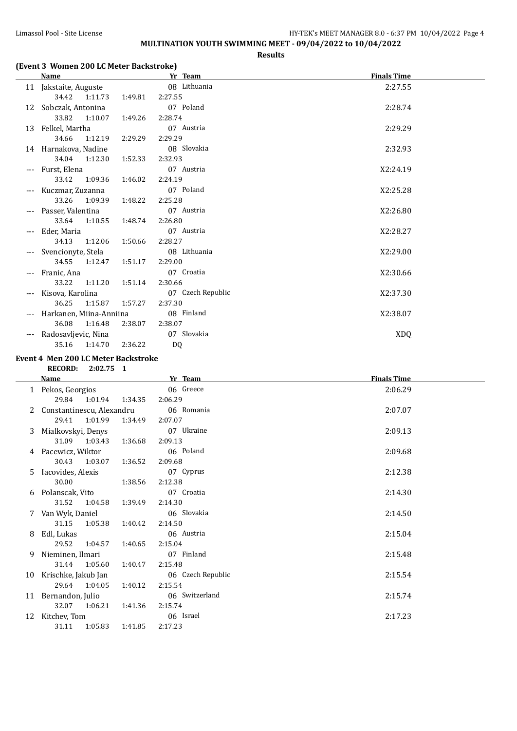## Limassol Pool - Site License **HY-TEK's MEET MANAGER 8.0 - 6:37 PM** 10/04/2022 Page 4 **MULTINATION YOUTH SWIMMING MEET - 09/04/2022 to 10/04/2022**

#### **Results**

## **(Event 3 Women 200 LC Meter Backstroke)**

|       | <b>Name</b>             |         | Yr Team           | <b>Finals Time</b> |
|-------|-------------------------|---------|-------------------|--------------------|
|       | 11 Jakstaite, Auguste   |         | 08 Lithuania      | 2:27.55            |
|       | 34.42<br>1:11.73        | 1:49.81 | 2:27.55           |                    |
| 12    | Sobczak, Antonina       |         | 07 Poland         | 2:28.74            |
|       | 33.82<br>1:10.07        | 1:49.26 | 2:28.74           |                    |
|       | 13 Felkel, Martha       |         | 07 Austria        | 2:29.29            |
|       | 34.66<br>1:12.19        | 2:29.29 | 2:29.29           |                    |
|       | 14 Harnakova, Nadine    |         | 08 Slovakia       | 2:32.93            |
|       | 34.04<br>1:12.30        | 1:52.33 | 2:32.93           |                    |
| $---$ | Furst, Elena            |         | 07 Austria        | X2:24.19           |
|       | 33.42<br>1:09.36        | 1:46.02 | 2:24.19           |                    |
| $---$ | Kuczmar, Zuzanna        |         | 07 Poland         | X2:25.28           |
|       | 33.26<br>1:09.39        | 1:48.22 | 2:25.28           |                    |
|       | Passer, Valentina       |         | 07 Austria        | X2:26.80           |
|       | 33.64<br>1:10.55        | 1:48.74 | 2:26.80           |                    |
|       | Eder, Maria             |         | 07 Austria        | X2:28.27           |
|       | 34.13<br>1:12.06        | 1:50.66 | 2:28.27           |                    |
|       | Svencionyte, Stela      |         | 08 Lithuania      | X2:29.00           |
|       | 34.55<br>1:12.47        | 1:51.17 | 2:29.00           |                    |
| ---   | Franic, Ana             |         | 07 Croatia        | X2:30.66           |
|       | 33.22<br>1:11.20        | 1:51.14 | 2:30.66           |                    |
| ---   | Kisova, Karolina        |         | 07 Czech Republic | X2:37.30           |
|       | 36.25<br>1:15.87        | 1:57.27 | 2:37.30           |                    |
|       | Harkanen, Miina-Anniina |         | 08 Finland        | X2:38.07           |
|       | 36.08<br>1:16.48        | 2:38.07 | 2:38.07           |                    |
|       | Radosavljevic, Nina     |         | 07 Slovakia       | <b>XDQ</b>         |
|       | 35.16<br>1:14.70        | 2:36.22 | D <sub>0</sub>    |                    |

## **Event 4 Men 200 LC Meter Backstroke**

| <b>RECORD:</b> | 2:02.75 |  |
|----------------|---------|--|
|----------------|---------|--|

|    | Name                      |         | Yr Team           | <b>Finals Time</b> |
|----|---------------------------|---------|-------------------|--------------------|
| 1  | Pekos, Georgios           |         | 06 Greece         | 2:06.29            |
|    | 29.84 1:01.94             | 1:34.35 | 2:06.29           |                    |
| 2  | Constantinescu, Alexandru |         | 06 Romania        | 2:07.07            |
|    | 1:01.99<br>29.41          | 1:34.49 | 2:07.07           |                    |
| 3  | Mialkovskyi, Denys        |         | 07 Ukraine        | 2:09.13            |
|    | 31.09 1:03.43             | 1:36.68 | 2:09.13           |                    |
| 4  | Pacewicz, Wiktor          |         | 06 Poland         | 2:09.68            |
|    | 30.43<br>1:03.07          | 1:36.52 | 2:09.68           |                    |
| 5  | Iacovides, Alexis         |         | 07 Cyprus         | 2:12.38            |
|    | 30.00                     | 1:38.56 | 2:12.38           |                    |
| 6  | Polanscak, Vito           |         | 07 Croatia        | 2:14.30            |
|    | 31.52<br>1:04.58          | 1:39.49 | 2:14.30           |                    |
| 7  | Van Wyk, Daniel           |         | 06 Slovakia       | 2:14.50            |
|    | 31.15<br>1:05.38          | 1:40.42 | 2:14.50           |                    |
| 8  | Edl, Lukas                |         | 06 Austria        | 2:15.04            |
|    | 29.52<br>1:04.57          | 1:40.65 | 2:15.04           |                    |
| 9  | Nieminen, Ilmari          |         | 07 Finland        | 2:15.48            |
|    | 31.44 1:05.60             | 1:40.47 | 2:15.48           |                    |
| 10 | Krischke, Jakub Jan       |         | 06 Czech Republic | 2:15.54            |
|    | 29.64 1:04.05             | 1:40.12 | 2:15.54           |                    |
| 11 | Bernandon, Julio          |         | 06 Switzerland    | 2:15.74            |
|    | 32.07<br>1:06.21          | 1:41.36 | 2:15.74           |                    |
| 12 | Kitchev, Tom              |         | 06 Israel         | 2:17.23            |
|    | 31.11<br>1:05.83          | 1:41.85 | 2:17.23           |                    |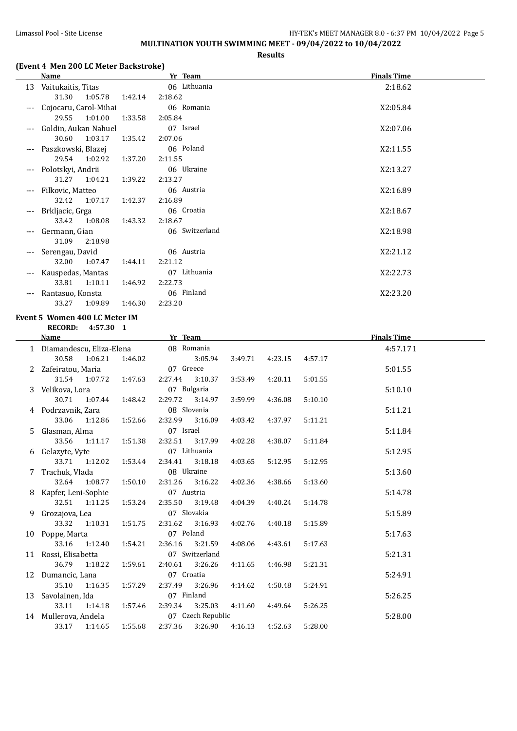## Limassol Pool - Site License **HY-TEK's MEET MANAGER 8.0 - 6:37 PM 10/04/2022** Page 5 **MULTINATION YOUTH SWIMMING MEET - 09/04/2022 to 10/04/2022**

#### **Results**

## **(Event 4 Men 200 LC Meter Backstroke)**

|   | <b>Name</b>                         |         | Yr Team                  |                 |         |         | <b>Finals Time</b> |  |
|---|-------------------------------------|---------|--------------------------|-----------------|---------|---------|--------------------|--|
|   | 13 Vaitukaitis, Titas               |         | 06 Lithuania             |                 |         |         | 2:18.62            |  |
|   | 31.30<br>1:05.78                    | 1:42.14 | 2:18.62                  |                 |         |         |                    |  |
|   | Cojocaru, Carol-Mihai               |         | 06 Romania               |                 |         |         | X2:05.84           |  |
|   | 29.55<br>1:01.00                    | 1:33.58 | 2:05.84                  |                 |         |         |                    |  |
|   | Goldin, Aukan Nahuel                |         | 07 Israel                |                 |         |         | X2:07.06           |  |
|   | 30.60<br>1:03.17                    | 1:35.42 | 2:07.06                  |                 |         |         |                    |  |
|   | Paszkowski, Blazej                  |         | 06 Poland                |                 |         |         | X2:11.55           |  |
|   | 29.54<br>1:02.92                    | 1:37.20 | 2:11.55                  |                 |         |         |                    |  |
|   | Polotskyi, Andrii                   |         | 06 Ukraine               |                 |         |         | X2:13.27           |  |
|   | 31.27                               |         |                          |                 |         |         |                    |  |
|   | 1:04.21                             | 1:39.22 | 2:13.27                  |                 |         |         |                    |  |
|   | Filkovic, Matteo                    |         | 06 Austria               |                 |         |         | X2:16.89           |  |
|   | 32.42<br>1:07.17                    | 1:42.37 | 2:16.89                  |                 |         |         |                    |  |
|   | Brkljacic, Grga                     |         | 06 Croatia               |                 |         |         | X2:18.67           |  |
|   | 33.42<br>1:08.08                    | 1:43.32 | 2:18.67                  |                 |         |         |                    |  |
|   | Germann, Gian                       |         | 06 Switzerland           |                 |         |         | X2:18.98           |  |
|   | 31.09<br>2:18.98                    |         |                          |                 |         |         |                    |  |
|   | Serengau, David                     |         | 06 Austria               |                 |         |         | X2:21.12           |  |
|   | 32.00<br>1:07.47                    | 1:44.11 | 2:21.12                  |                 |         |         |                    |  |
|   | Kauspedas, Mantas                   |         | 07 Lithuania             |                 |         |         | X2:22.73           |  |
|   | 33.81<br>1:10.11                    | 1:46.92 | 2:22.73                  |                 |         |         |                    |  |
|   | Rantasuo, Konsta                    |         | 06 Finland               |                 |         |         | X2:23.20           |  |
|   | 33.27<br>1:09.89                    | 1:46.30 | 2:23.20                  |                 |         |         |                    |  |
|   | Event 5 Women 400 LC Meter IM       |         |                          |                 |         |         |                    |  |
|   |                                     |         |                          |                 |         |         |                    |  |
|   | RECORD: 4:57.30 1                   |         |                          |                 |         |         |                    |  |
|   | Name                                |         | <b>Example 2</b> Yr Team |                 |         |         | <b>Finals Time</b> |  |
|   | 1 Diamandescu, Eliza-Elena          |         | 08 Romania               |                 |         |         | 4:57.171           |  |
|   | 30.58<br>1:06.21                    | 1:46.02 | 3:05.94                  | 3:49.71         | 4:23.15 | 4:57.17 |                    |  |
|   | 2 Zafeiratou, Maria                 |         | 07 Greece                |                 |         |         | 5:01.55            |  |
|   | 31.54<br>1:07.72                    | 1:47.63 | 2:27.44<br>3:10.37       | 3:53.49         | 4:28.11 | 5:01.55 |                    |  |
|   | Velikova, Lora                      |         | 07 Bulgaria              |                 |         |         | 5:10.10            |  |
|   | 30.71<br>1:07.44                    | 1:48.42 | 2:29.72<br>3:14.97       | 3:59.99         | 4:36.08 | 5:10.10 |                    |  |
|   | 4 Podrzavnik, Zara                  |         | 08 Slovenia              |                 |         |         | 5:11.21            |  |
|   | 33.06<br>1:12.86                    | 1:52.66 | 2:32.99<br>3:16.09       | 4:03.42         | 4:37.97 | 5:11.21 |                    |  |
| 5 | Glasman, Alma                       |         | 07 Israel                |                 |         |         | 5:11.84            |  |
|   | 33.56<br>1:11.17                    | 1:51.38 | 2:32.51<br>3:17.99       | 4:02.28         | 4:38.07 | 5:11.84 |                    |  |
|   | 6 Gelazyte, Vyte                    |         | 07 Lithuania             |                 |         |         | 5:12.95            |  |
|   | 33.71   1:12.02   1:53.44   2:34.41 |         |                          | 3:18.18 4:03.65 | 5:12.95 | 5:12.95 |                    |  |
|   | 7 Trachuk, Vlada                    |         | 08 Ukraine               |                 |         |         | 5:13.60            |  |
|   | 32.64<br>1:08.77                    | 1:50.10 | 2:31.26<br>3:16.22       | 4:02.36         | 4:38.66 | 5:13.60 |                    |  |
|   | 8 Kapfer, Leni-Sophie               |         | 07 Austria               |                 |         |         | 5:14.78            |  |
|   | 32.51<br>1:11.25                    | 1:53.24 | 2:35.50<br>3:19.48       | 4:04.39         | 4:40.24 | 5:14.78 |                    |  |
|   | 9 Grozajova, Lea                    |         | 07 Slovakia              |                 |         |         | 5:15.89            |  |
|   | 33.32<br>1:10.31                    | 1:51.75 | 2:31.62<br>3:16.93       | 4:02.76         | 4:40.18 | 5:15.89 |                    |  |
|   | 10 Poppe, Marta                     |         | 07 Poland                |                 |         |         | 5:17.63            |  |
|   | 33.16<br>1:12.40                    | 1:54.21 | 2:36.16<br>3:21.59       | 4:08.06         | 4:43.61 | 5:17.63 |                    |  |
|   | 11 Rossi, Elisabetta                |         | 07 Switzerland           |                 |         |         | 5:21.31            |  |
|   | 36.79<br>1:18.22                    | 1:59.61 | 2:40.61<br>3:26.26       |                 | 4:46.98 | 5:21.31 |                    |  |
|   |                                     |         | 07 Croatia               | 4:11.65         |         |         |                    |  |
|   | 12 Dumancic, Lana                   |         |                          |                 |         |         | 5:24.91            |  |
|   | 35.10<br>1:16.35                    | 1:57.29 | 2:37.49<br>3:26.96       | 4:14.62         | 4:50.48 | 5:24.91 |                    |  |
|   | 13 Savolainen, Ida                  |         | 07 Finland               |                 |         |         | 5:26.25            |  |
|   | $33.11\,$<br>1:14.18                | 1:57.46 | 3:25.03<br>2:39.34       | 4:11.60         | 4:49.64 | 5:26.25 |                    |  |
|   | 14 Mullerova, Andela                |         | 07 Czech Republic        |                 |         |         | 5:28.00            |  |
|   | 33.17<br>1:14.65                    | 1:55.68 | 2:37.36<br>3:26.90       | 4:16.13         | 4:52.63 | 5:28.00 |                    |  |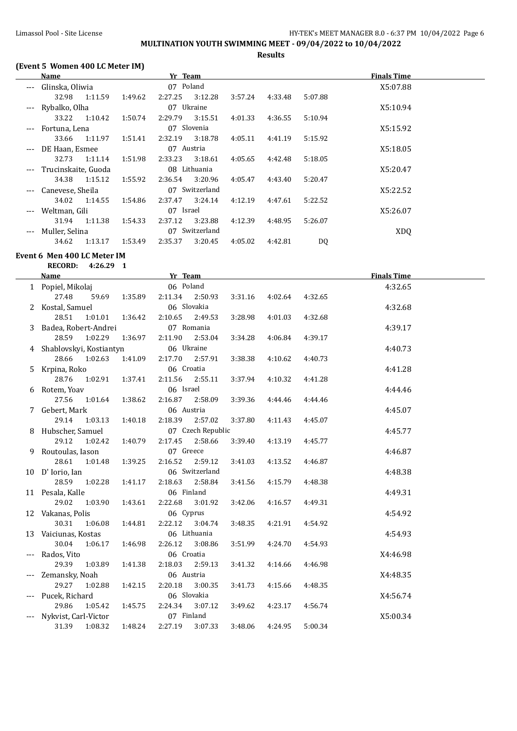# **MULTINATION YOUTH SWIMMING MEET - 09/04/2022 to 10/04/2022**

**Results**

## **(Event 5 Women 400 LC Meter IM)**

|                     | Name                |         |         | Yr Team     |                |         |         |         | <b>Finals Time</b> |  |
|---------------------|---------------------|---------|---------|-------------|----------------|---------|---------|---------|--------------------|--|
| $\qquad \qquad - -$ | Glinska, Oliwia     |         |         | 07 Poland   |                |         |         |         | X5:07.88           |  |
|                     | 32.98               | 1:11.59 | 1:49.62 | 2:27.25     | 3:12.28        | 3:57.24 | 4:33.48 | 5:07.88 |                    |  |
| $---$               | Rybalko, Olha       |         |         | 07 Ukraine  |                |         |         |         | X5:10.94           |  |
|                     | 33.22               | 1:10.42 | 1:50.74 | 2:29.79     | 3:15.51        | 4:01.33 | 4:36.55 | 5:10.94 |                    |  |
| $\qquad \qquad - -$ | Fortuna, Lena       |         |         | 07 Slovenia |                |         |         |         | X5:15.92           |  |
|                     | 33.66               | 1:11.97 | 1:51.41 | 2:32.19     | 3:18.78        | 4:05.11 | 4:41.19 | 5:15.92 |                    |  |
| $\qquad \qquad - -$ | DE Haan, Esmee      |         |         | 07 Austria  |                |         |         |         | X5:18.05           |  |
|                     | 32.73               | 1:11.14 | 1:51.98 | 2:33.23     | 3:18.61        | 4:05.65 | 4:42.48 | 5:18.05 |                    |  |
| $\cdots$            | Trucinskaite, Guoda |         |         |             | 08 Lithuania   |         |         |         | X5:20.47           |  |
|                     | 34.38               | 1:15.12 | 1:55.92 | 2:36.54     | 3:20.96        | 4:05.47 | 4:43.40 | 5:20.47 |                    |  |
| $---$               | Canevese, Sheila    |         |         |             | 07 Switzerland |         |         |         | X5:22.52           |  |
|                     | 34.02               | 1:14.55 | 1:54.86 | 2:37.47     | 3:24.14        | 4:12.19 | 4:47.61 | 5:22.52 |                    |  |
| $---$               | Weltman, Gili       |         |         | 07 Israel   |                |         |         |         | X5:26.07           |  |
|                     | 31.94               | 1:11.38 | 1:54.33 | 2:37.12     | 3:23.88        | 4:12.39 | 4:48.95 | 5:26.07 |                    |  |
| $---$               | Muller, Selina      |         |         |             | 07 Switzerland |         |         |         | XDQ                |  |
|                     | 34.62               | 1:13.17 | 1:53.49 | 2:35.37     | 3:20.45        | 4:05.02 | 4:42.81 | DQ      |                    |  |

#### **Event 6 Men 400 LC Meter IM**

**RECORD: 4:26.29 1**

|       | <b>Name</b>               |         | Yr Team    |                   |         |         |         | <b>Finals Time</b> |
|-------|---------------------------|---------|------------|-------------------|---------|---------|---------|--------------------|
|       | 1 Popiel, Mikolaj         |         | 06 Poland  |                   |         |         |         | 4:32.65            |
|       | 27.48<br>59.69            | 1:35.89 | 2:11.34    | 2:50.93           | 3:31.16 | 4:02.64 | 4:32.65 |                    |
|       | 2 Kostal, Samuel          |         |            | 06 Slovakia       |         |         |         | 4:32.68            |
|       | 28.51<br>1:01.01          | 1:36.42 | 2:10.65    | 2:49.53           | 3:28.98 | 4:01.03 | 4:32.68 |                    |
|       | 3 Badea, Robert-Andrei    |         |            | 07 Romania        |         |         |         | 4:39.17            |
|       | 1:02.29<br>28.59          | 1:36.97 | 2:11.90    | 2:53.04           | 3:34.28 | 4:06.84 | 4:39.17 |                    |
|       | 4 Shablovskyi, Kostiantyn |         | 06 Ukraine |                   |         |         |         | 4:40.73            |
|       | 28.66<br>1:02.63          | 1:41.09 | 2:17.70    | 2:57.91           | 3:38.38 | 4:10.62 | 4:40.73 |                    |
| 5.    | Krpina, Roko              |         | 06 Croatia |                   |         |         |         | 4:41.28            |
|       | 28.76<br>1:02.91          | 1:37.41 | 2:11.56    | 2:55.11           | 3:37.94 | 4:10.32 | 4:41.28 |                    |
|       | Rotem, Yoav               |         | 06 Israel  |                   |         |         |         | 4:44.46            |
|       | 27.56<br>1:01.64          | 1:38.62 | 2:16.87    | 2:58.09           | 3:39.36 | 4:44.46 | 4:44.46 |                    |
|       | 7 Gebert, Mark            |         | 06 Austria |                   |         |         |         | 4:45.07            |
|       | 1:03.13<br>29.14          | 1:40.18 | 2:18.39    | 2:57.02           | 3:37.80 | 4:11.43 | 4:45.07 |                    |
| 8.    | Hubscher, Samuel          |         |            | 07 Czech Republic |         |         |         | 4:45.77            |
|       | 29.12<br>1:02.42          | 1:40.79 | 2:17.45    | 2:58.66           | 3:39.40 | 4:13.19 | 4:45.77 |                    |
| 9.    | Routoulas, Iason          |         | 07 Greece  |                   |         |         |         | 4:46.87            |
|       | 28.61<br>1:01.48          | 1:39.25 | 2:16.52    | 2:59.12           | 3:41.03 | 4:13.52 | 4:46.87 |                    |
|       | 10 D' Iorio, Ian          |         |            | 06 Switzerland    |         |         |         | 4:48.38            |
|       | 28.59<br>1:02.28          | 1:41.17 | 2:18.63    | 2:58.84           | 3:41.56 | 4:15.79 | 4:48.38 |                    |
|       | 11 Pesala, Kalle          |         | 06 Finland |                   |         |         |         | 4:49.31            |
|       | 29.02<br>1:03.90          | 1:43.61 | 2:22.68    | 3:01.92           | 3:42.06 | 4:16.57 | 4:49.31 |                    |
|       | 12 Vakanas, Polis         |         | 06 Cyprus  |                   |         |         |         | 4:54.92            |
|       | 30.31<br>1:06.08          | 1:44.81 | 2:22.12    | 3:04.74           | 3:48.35 | 4:21.91 | 4:54.92 |                    |
|       | 13 Vaiciunas, Kostas      |         |            | 06 Lithuania      |         |         |         | 4:54.93            |
|       | 30.04<br>1:06.17          | 1:46.98 | 2:26.12    | 3:08.86           | 3:51.99 | 4:24.70 | 4:54.93 |                    |
|       | Rados, Vito               |         | 06 Croatia |                   |         |         |         | X4:46.98           |
|       | 29.39<br>1:03.89          | 1:41.38 | 2:18.03    | 2:59.13           | 3:41.32 | 4:14.66 | 4:46.98 |                    |
| $---$ | Zemansky, Noah            |         | 06 Austria |                   |         |         |         | X4:48.35           |
|       | 29.27<br>1:02.88          | 1:42.15 | 2:20.18    | 3:00.35           | 3:41.73 | 4:15.66 | 4:48.35 |                    |
|       | Pucek, Richard            |         |            | 06 Slovakia       |         |         |         | X4:56.74           |
|       | 29.86<br>1:05.42          | 1:45.75 | 2:24.34    | 3:07.12           | 3:49.62 | 4:23.17 | 4:56.74 |                    |
|       | Nykvist, Carl-Victor      |         | 07 Finland |                   |         |         |         | X5:00.34           |
|       | 31.39<br>1:08.32          | 1:48.24 | 2:27.19    | 3:07.33           | 3:48.06 | 4:24.95 | 5:00.34 |                    |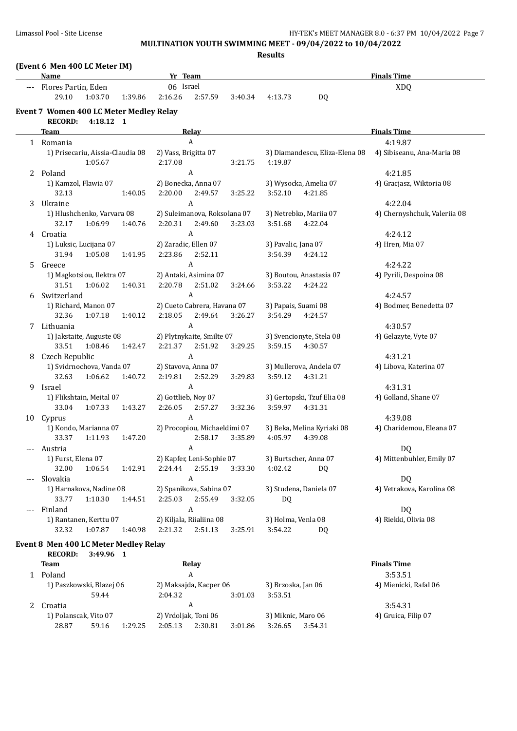**MULTINATION YOUTH SWIMMING MEET - 09/04/2022 to 10/04/2022**

**Results**

## **(Event 6 Men 400 LC Meter IM)**

|     | <u>Name</u>                             | Flores Partin, Eden |         | Yr Team              |                              |         | <b>Finals Time</b>  |                            |                                                           |  |
|-----|-----------------------------------------|---------------------|---------|----------------------|------------------------------|---------|---------------------|----------------------------|-----------------------------------------------------------|--|
|     |                                         |                     |         | 06 Israel            |                              |         | <b>XDQ</b>          |                            |                                                           |  |
|     | 29.10                                   | 1:03.70             | 1:39.86 | 2:16.26              | 2:57.59                      | 3:40.34 | 4:13.73             | DQ                         |                                                           |  |
|     | Event 7 Women 400 LC Meter Medley Relay |                     |         |                      |                              |         |                     |                            |                                                           |  |
|     | <b>RECORD:</b>                          | 4:18.12 1           |         |                      |                              |         |                     |                            |                                                           |  |
|     | Team                                    |                     |         |                      | Relay                        |         |                     |                            | <b>Finals Time</b>                                        |  |
|     | 1 Romania                               |                     |         |                      | $\boldsymbol{A}$             |         |                     |                            | 4:19.87                                                   |  |
|     | 1) Prisecariu, Aissia-Claudia 08        |                     |         | 2) Vass, Brigitta 07 |                              |         |                     |                            | 3) Diamandescu, Eliza-Elena 08 4) Sibiseanu, Ana-Maria 08 |  |
|     |                                         | 1:05.67             |         | 2:17.08              |                              | 3:21.75 | 4:19.87             |                            |                                                           |  |
|     | 2 Poland                                |                     |         |                      | A                            |         |                     |                            | 4:21.85                                                   |  |
|     | 1) Kamzol, Flawia 07                    |                     |         |                      | 2) Bonecka, Anna 07          |         |                     | 3) Wysocka, Amelia 07      | 4) Gracjasz, Wiktoria 08                                  |  |
|     | 32.13                                   |                     | 1:40.05 | 2:20.00              | 2:49.57                      | 3:25.22 | 3:52.10             | 4:21.85                    |                                                           |  |
| 3   | Ukraine                                 |                     |         |                      | A                            |         |                     |                            | 4:22.04                                                   |  |
|     | 1) Hlushchenko, Varvara 08              |                     |         |                      | 2) Suleimanova, Roksolana 07 |         |                     | 3) Netrebko, Mariia 07     | 4) Chernyshchuk, Valeriia 08                              |  |
|     | 32.17                                   | 1:06.99             | 1:40.76 | 2:20.31              | 2:49.60                      | 3:23.03 | 3:51.68             | 4:22.04                    |                                                           |  |
| 4   | Croatia                                 |                     |         |                      | A                            |         |                     |                            | 4:24.12                                                   |  |
|     | 1) Luksic, Lucijana 07                  |                     |         | 2) Zaradic, Ellen 07 |                              |         | 3) Pavalic, Jana 07 |                            | 4) Hren, Mia 07                                           |  |
|     | 31.94                                   | 1:05.08             | 1:41.95 | 2:23.86              | 2:52.11                      |         | 3:54.39             | 4:24.12                    |                                                           |  |
| 5   | Greece                                  |                     |         |                      | A                            |         |                     |                            | 4:24.22                                                   |  |
|     | 1) Magkotsiou, Ilektra 07               |                     |         |                      | 2) Antaki, Asimina 07        |         |                     | 3) Boutou, Anastasia 07    | 4) Pyrili, Despoina 08                                    |  |
|     | 31.51                                   | 1:06.02             | 1:40.31 | 2:20.78              | 2:51.02                      | 3:24.66 | 3:53.22             | 4:24.22                    |                                                           |  |
| 6   | Switzerland                             |                     |         |                      | A                            |         |                     |                            | 4:24.57                                                   |  |
|     | 1) Richard, Manon 07                    |                     |         |                      | 2) Cueto Cabrera, Havana 07  |         | 3) Papais, Suami 08 |                            | 4) Bodmer, Benedetta 07                                   |  |
|     | 32.36                                   | 1:07.18             | 1:40.12 | 2:18.05              | 2:49.64                      | 3:26.27 | 3:54.29             | 4:24.57                    |                                                           |  |
|     | 7 Lithuania                             |                     |         |                      | A                            |         |                     |                            | 4:30.57                                                   |  |
|     | 1) Jakstaite, Auguste 08                |                     |         |                      | 2) Plytnykaite, Smilte 07    |         |                     | 3) Svencionyte, Stela 08   | 4) Gelazyte, Vyte 07                                      |  |
|     | 33.51                                   | 1:08.46             | 1:42.47 | 2:21.37              | 2:51.92                      | 3:29.25 | 3:59.15             | 4:30.57                    |                                                           |  |
| 8   | Czech Republic                          |                     |         |                      | A                            |         |                     |                            | 4:31.21                                                   |  |
|     | 1) Svidrnochova, Vanda 07               |                     |         | 2) Stavova, Anna 07  |                              |         |                     | 3) Mullerova, Andela 07    | 4) Libova, Katerina 07                                    |  |
|     | 32.63                                   | 1:06.62             | 1:40.72 | 2:19.81              | 2:52.29                      | 3:29.83 | 3:59.12             | 4:31.21                    |                                                           |  |
| 9   | Israel                                  |                     |         |                      | A                            |         |                     |                            | 4:31.31                                                   |  |
|     | 1) Flikshtain, Meital 07                |                     |         | 2) Gottlieb, Noy 07  |                              |         |                     | 3) Gertopski, Tzuf Elia 08 | 4) Golland, Shane 07                                      |  |
|     | 33.04                                   | 1:07.33             | 1:43.27 | 2:26.05              | 2:57.27                      | 3:32.36 | 3:59.97             | 4:31.31                    |                                                           |  |
|     | 10 Cyprus                               |                     |         |                      | A                            |         |                     |                            | 4:39.08                                                   |  |
|     | 1) Kondo, Marianna 07                   |                     |         |                      | 2) Procopiou, Michaeldimi 07 |         |                     | 3) Beka, Melina Kyriaki 08 | 4) Charidemou, Eleana 07                                  |  |
|     | 33.37                                   | 1:11.93             | 1:47.20 |                      | 2:58.17                      | 3:35.89 | 4:05.97             | 4:39.08                    |                                                           |  |
|     | Austria                                 |                     |         |                      | A                            |         |                     |                            | DQ                                                        |  |
|     | 1) Furst, Elena 07                      |                     |         |                      | 2) Kapfer, Leni-Sophie 07    |         |                     | 3) Burtscher, Anna 07      | 4) Mittenbuhler, Emily 07                                 |  |
|     | 32.00                                   | 1:06.54             | 1:42.91 | 2:24.44              | 2:55.19                      | 3:33.30 | 4:02.42             | DQ                         |                                                           |  |
|     | Slovakia                                |                     |         |                      | A                            |         |                     |                            | DQ                                                        |  |
|     | 1) Harnakova, Nadine 08                 |                     |         |                      | 2) Spanikova, Sabina 07      |         |                     | 3) Studena, Daniela 07     | 4) Vetrakova, Karolina 08                                 |  |
|     | 33.77                                   | 1:10.30             | 1:44.51 | 2:25.03              | 2:55.49                      | 3:32.05 | DQ                  |                            |                                                           |  |
| --- | Finland                                 |                     |         |                      | A                            |         |                     |                            | <b>DQ</b>                                                 |  |
|     | 1) Rantanen, Kerttu 07                  |                     |         |                      | 2) Kiljala, Riialiina 08     |         | 3) Holma, Venla 08  |                            | 4) Riekki, Olivia 08                                      |  |
|     | 32.32                                   | 1:07.87             | 1:40.98 | 2:21.32              | 2:51.13                      | 3:25.91 | 3:54.22             | DQ.                        |                                                           |  |

## **Event 8 Men 400 LC Meter Medley Relay**

**RECORD: 3:49.96 1**

| Team                     |       |         |                      | Relav                  |         |                    |                    | <b>Finals Time</b>    |
|--------------------------|-------|---------|----------------------|------------------------|---------|--------------------|--------------------|-----------------------|
| Poland                   |       |         |                      | A                      |         |                    |                    | 3:53.51               |
| 1) Paszkowski, Blazej 06 |       |         |                      | 2) Maksajda, Kacper 06 |         |                    | 3) Brzoska, Jan 06 | 4) Mienicki, Rafal 06 |
|                          | 59.44 |         | 2:04.32              |                        | 3:01.03 | 3:53.51            |                    |                       |
| Croatia                  |       |         |                      | A                      |         |                    |                    | 3:54.31               |
| 1) Polanscak, Vito 07    |       |         | 2) Vrdoljak, Toni 06 |                        |         | 3) Miknic, Maro 06 |                    | 4) Gruica, Filip 07   |
| 28.87                    | 59.16 | 1:29.25 | 2:05.13              | 2:30.81                | 3:01.86 | 3:26.65            | 3:54.31            |                       |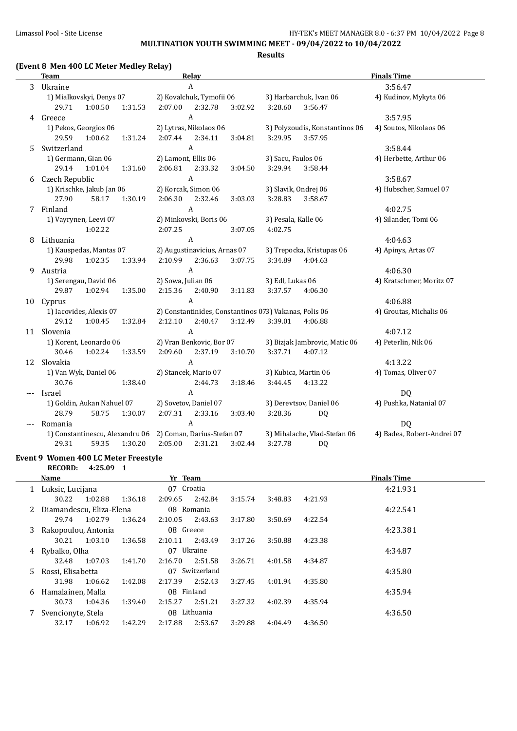**MULTINATION YOUTH SWIMMING MEET - 09/04/2022 to 10/04/2022**

**Results**

## **(Event 8 Men 400 LC Meter Medley Relay)**

|    | <b>Team</b>                                                |         |                     | <b>Relay</b>                 |         |                                                        |                                | <b>Finals Time</b>         |
|----|------------------------------------------------------------|---------|---------------------|------------------------------|---------|--------------------------------------------------------|--------------------------------|----------------------------|
| 3  | Ukraine                                                    |         |                     | A                            |         |                                                        |                                | 3:56.47                    |
|    | 1) Mialkovskyi, Denys 07                                   |         |                     | 2) Kovalchuk, Tymofii 06     |         |                                                        | 3) Harbarchuk, Ivan 06         | 4) Kudinov, Mykyta 06      |
|    | 29.71<br>1:00.50                                           | 1:31.53 | 2:07.00             | 2:32.78                      | 3:02.92 | 3:28.60                                                | 3:56.47                        |                            |
|    | 4 Greece                                                   |         |                     | A                            |         |                                                        |                                | 3:57.95                    |
|    | 1) Pekos, Georgios 06                                      |         |                     | 2) Lytras, Nikolaos 06       |         |                                                        | 3) Polyzoudis, Konstantinos 06 | 4) Soutos, Nikolaos 06     |
|    | 29.59<br>1:00.62                                           | 1:31.24 | 2:07.44             | 2:34.11                      | 3:04.81 | 3:29.95                                                | 3:57.95                        |                            |
| 5. | Switzerland                                                |         |                     | A                            |         |                                                        |                                | 3:58.44                    |
|    | 1) Germann, Gian 06                                        |         | 2) Lamont, Ellis 06 |                              |         | 3) Sacu, Faulos 06                                     |                                | 4) Herbette, Arthur 06     |
|    | 29.14<br>1:01.04                                           | 1:31.60 | 2:06.81             | 2:33.32                      | 3:04.50 | 3:29.94                                                | 3:58.44                        |                            |
| 6  | Czech Republic                                             |         |                     | $\boldsymbol{A}$             |         |                                                        |                                | 3:58.67                    |
|    | 1) Krischke, Jakub Jan 06                                  |         |                     | 2) Korcak, Simon 06          |         | 3) Slavik, Ondrej 06                                   |                                | 4) Hubscher, Samuel 07     |
|    | 27.90<br>58.17                                             | 1:30.19 | 2:06.30             | 2:32.46                      | 3:03.03 | 3:28.83                                                | 3:58.67                        |                            |
| 7  | Finland                                                    |         |                     | A                            |         |                                                        |                                | 4:02.75                    |
|    | 1) Vayrynen, Leevi 07                                      |         |                     | 2) Minkovski, Boris 06       |         | 3) Pesala, Kalle 06                                    |                                | 4) Silander, Tomi 06       |
|    | 1:02.22                                                    |         | 2:07.25             |                              | 3:07.05 | 4:02.75                                                |                                |                            |
| 8  | Lithuania                                                  |         |                     | A                            |         |                                                        |                                | 4:04.63                    |
|    | 1) Kauspedas, Mantas 07                                    |         |                     | 2) Augustinavicius, Arnas 07 |         |                                                        | 3) Trepocka, Kristupas 06      | 4) Apinys, Artas 07        |
|    | 29.98<br>1:02.35                                           | 1:33.94 | 2:10.99             | 2:36.63                      | 3:07.75 | 3:34.89                                                | 4:04.63                        |                            |
| 9  | Austria                                                    |         |                     | A                            |         |                                                        |                                | 4:06.30                    |
|    | 1) Serengau, David 06                                      |         | 2) Sowa, Julian 06  |                              |         | 3) Edl, Lukas 06                                       |                                | 4) Kratschmer, Moritz 07   |
|    | 29.87<br>1:02.94                                           | 1:35.00 | 2:15.36             | 2:40.90                      | 3:11.83 | 3:37.57                                                | 4:06.30                        |                            |
|    | 10 Cyprus                                                  |         |                     | A                            |         |                                                        |                                | 4:06.88                    |
|    | 1) Iacovides, Alexis 07                                    |         |                     |                              |         | 2) Constantinides, Constantinos 073) Vakanas, Polis 06 |                                | 4) Groutas, Michalis 06    |
|    | 29.12<br>1:00.45                                           | 1:32.84 | 2:12.10             | 2:40.47                      | 3:12.49 | 3:39.01                                                | 4:06.88                        |                            |
| 11 | Slovenia                                                   |         |                     | A                            |         |                                                        |                                | 4:07.12                    |
|    | 1) Korent, Leonardo 06                                     |         |                     | 2) Vran Benkovic, Bor 07     |         |                                                        | 3) Bizjak Jambrovic, Matic 06  | 4) Peterlin, Nik 06        |
|    | 30.46<br>1:02.24                                           | 1:33.59 | 2:09.60             | 2:37.19                      | 3:10.70 | 3:37.71                                                | 4:07.12                        |                            |
| 12 | Slovakia                                                   |         |                     | A                            |         |                                                        |                                | 4:13.22                    |
|    | 1) Van Wyk, Daniel 06                                      |         |                     | 2) Stancek, Mario 07         |         |                                                        | 3) Kubica, Martin 06           | 4) Tomas, Oliver 07        |
|    | 30.76                                                      | 1:38.40 |                     | 2:44.73                      | 3:18.46 | 3:44.45                                                | 4:13.22                        |                            |
|    | Israel                                                     |         |                     | A                            |         |                                                        |                                | DQ                         |
|    | 1) Goldin, Aukan Nahuel 07                                 |         |                     | 2) Sovetov, Daniel 07        |         |                                                        | 3) Derevtsov, Daniel 06        | 4) Pushka, Natanial 07     |
|    | 28.79<br>58.75                                             | 1:30.07 | 2:07.31             | 2:33.16                      | 3:03.40 | 3:28.36                                                | DQ                             |                            |
|    | Romania                                                    |         |                     | A                            |         |                                                        |                                | DQ                         |
|    | 1) Constantinescu, Alexandru 06 2) Coman, Darius-Stefan 07 |         |                     |                              |         |                                                        | 3) Mihalache, Vlad-Stefan 06   | 4) Badea, Robert-Andrei 07 |
|    | 29.31<br>59.35                                             | 1:30.20 | 2:05.00             | 2:31.21                      | 3:02.44 | 3:27.78                                                | DQ                             |                            |

#### **Event 9 Women 400 LC Meter Freestyle RECORD: 4:25.09 1**

**Name Property Property Property Property Finals Time Finals Time** 1 Luksic, Lucijana 07 Croatia 4:21.931 30.22 1:02.88 1:36.18 2:09.65 2:42.84 3:15.74 3:48.83 4:21.93 2 Diamandescu, Eliza-Elena 08 Romania 4:22.541 29.74 1:02.79 1:36.24 2:10.05 2:43.63 3:17.80 3:50.69 4:22.54 3 Rakopoulou, Antonia 08 Greece 4:23.381 30.21 1:03.10 1:36.58 2:10.11 2:43.49 3:17.26 3:50.88 4:23.38 4 Rybalko, Olha 07 Ukraine 4:34.87 32.48 1:07.03 1:41.70 2:16.70 2:51.58 3:26.71 4:01.58 4:34.87 5 Rossi, Elisabetta 07 Switzerland 4:35.80 31.98 1:06.62 1:42.08 2:17.39 2:52.43 3:27.45 4:01.94 4:35.80 6 Hamalainen, Malla 08 Finland 4:35.94 30.73 1:04.36 1:39.40 2:15.27 2:51.21 3:27.32 4:02.39 4:35.94 7 Svencionyte, Stela 08 Lithuania 4:36.50 32.17 1:06.92 1:42.29 2:17.88 2:53.67 3:29.88 4:04.49 4:36.50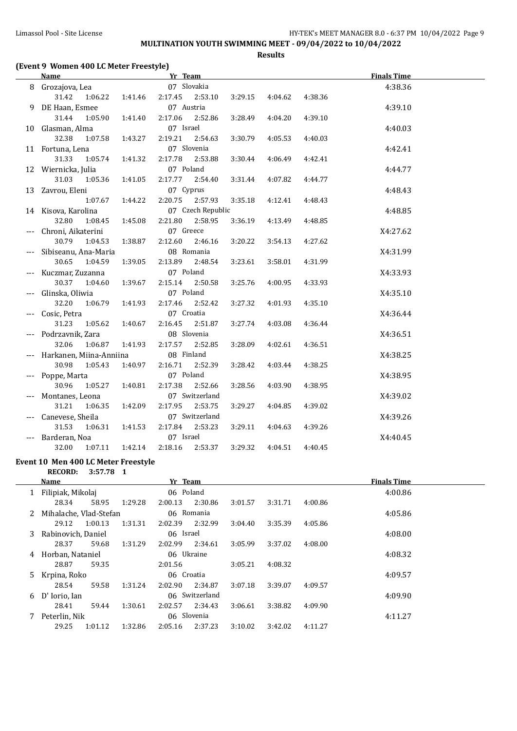# **MULTINATION YOUTH SWIMMING MEET - 09/04/2022 to 10/04/2022**

**Results**

## **(Event 9 Women 400 LC Meter Freestyle)**

|     | <b>Name</b>             |         | Yr Team     |                   |         |         |         | <b>Finals Time</b> |  |
|-----|-------------------------|---------|-------------|-------------------|---------|---------|---------|--------------------|--|
|     | 8 Grozajova, Lea        |         | 07 Slovakia |                   |         |         |         | 4:38.36            |  |
|     | 1:06.22<br>31.42        | 1:41.46 | 2:17.45     | 2:53.10           | 3:29.15 | 4:04.62 | 4:38.36 |                    |  |
| 9   | DE Haan, Esmee          |         | 07 Austria  |                   |         |         |         | 4:39.10            |  |
|     | 31.44<br>1:05.90        | 1:41.40 | 2:17.06     | 2:52.86           | 3:28.49 | 4:04.20 | 4:39.10 |                    |  |
|     | 10 Glasman, Alma        |         | 07 Israel   |                   |         |         |         | 4:40.03            |  |
|     | 32.38<br>1:07.58        | 1:43.27 | 2:19.21     | 2:54.63           | 3:30.79 | 4:05.53 | 4:40.03 |                    |  |
|     | 11 Fortuna, Lena        |         |             | 07 Slovenia       |         |         |         | 4:42.41            |  |
|     | 31.33<br>1:05.74        | 1:41.32 | 2:17.78     | 2:53.88           | 3:30.44 | 4:06.49 | 4:42.41 |                    |  |
|     | 12 Wiernicka, Julia     |         | 07 Poland   |                   |         |         |         | 4:44.77            |  |
|     | 31.03<br>1:05.36        | 1:41.05 | 2:17.77     | 2:54.40           | 3:31.44 | 4:07.82 | 4:44.77 |                    |  |
|     | 13 Zavrou, Eleni        |         | 07 Cyprus   |                   |         |         |         | 4:48.43            |  |
|     | 1:07.67                 | 1:44.22 | 2:20.75     | 2:57.93           | 3:35.18 | 4:12.41 | 4:48.43 |                    |  |
|     | 14 Kisova, Karolina     |         |             | 07 Czech Republic |         |         |         | 4:48.85            |  |
|     | 32.80<br>1:08.45        | 1:45.08 | 2:21.80     | 2:58.95           | 3:36.19 | 4:13.49 | 4:48.85 |                    |  |
|     | Chroni, Aikaterini      |         | 07 Greece   |                   |         |         |         | X4:27.62           |  |
|     | 30.79<br>1:04.53        | 1:38.87 | 2:12.60     | 2:46.16           | 3:20.22 | 3:54.13 | 4:27.62 |                    |  |
|     | Sibiseanu, Ana-Maria    |         |             | 08 Romania        |         |         |         | X4:31.99           |  |
|     | 30.65<br>1:04.59        | 1:39.05 | 2:13.89     | 2:48.54           | 3:23.61 | 3:58.01 | 4:31.99 |                    |  |
|     | Kuczmar, Zuzanna        |         | 07 Poland   |                   |         |         |         | X4:33.93           |  |
|     | 30.37<br>1:04.60        | 1:39.67 | 2:15.14     | 2:50.58           | 3:25.76 | 4:00.95 | 4:33.93 |                    |  |
|     | Glinska, Oliwia         |         | 07 Poland   |                   |         |         |         | X4:35.10           |  |
|     | 32.20<br>1:06.79        | 1:41.93 | 2:17.46     | 2:52.42           | 3:27.32 | 4:01.93 | 4:35.10 |                    |  |
|     | Cosic, Petra            |         | 07 Croatia  |                   |         |         |         | X4:36.44           |  |
|     | 31.23<br>1:05.62        | 1:40.67 | 2:16.45     | 2:51.87           | 3:27.74 | 4:03.08 | 4:36.44 |                    |  |
|     | Podrzavnik, Zara        |         | 08 Slovenia |                   |         |         |         | X4:36.51           |  |
|     | 32.06<br>1:06.87        | 1:41.93 | 2:17.57     | 2:52.85           | 3:28.09 | 4:02.61 | 4:36.51 |                    |  |
|     | Harkanen, Miina-Anniina |         | 08 Finland  |                   |         |         |         | X4:38.25           |  |
|     | 30.98<br>1:05.43        | 1:40.97 | 2:16.71     | 2:52.39           | 3:28.42 | 4:03.44 | 4:38.25 |                    |  |
|     | Poppe, Marta            |         | 07 Poland   |                   |         |         |         | X4:38.95           |  |
|     | 30.96<br>1:05.27        | 1:40.81 | 2:17.38     | 2:52.66           | 3:28.56 | 4:03.90 | 4:38.95 |                    |  |
|     | Montanes, Leona         |         |             | 07 Switzerland    |         |         |         | X4:39.02           |  |
|     | 31.21<br>1:06.35        | 1:42.09 | 2:17.95     | 2:53.75           | 3:29.27 | 4:04.85 | 4:39.02 |                    |  |
|     | Canevese, Sheila        |         |             | 07 Switzerland    |         |         |         | X4:39.26           |  |
|     | 31.53<br>1:06.31        | 1:41.53 | 2:17.84     | 2:53.23           | 3:29.11 | 4:04.63 | 4:39.26 |                    |  |
| --- | Barderan, Noa           |         | 07 Israel   |                   |         |         |         | X4:40.45           |  |
|     | 32.00<br>1:07.11        | 1:42.14 | 2:18.16     | 2:53.37           | 3:29.32 | 4:04.51 | 4:40.45 |                    |  |

#### **Event 10 Men 400 LC Meter Freestyle RECORD: 3:57.78 1**

|   | Name                   |         |         | Yr Team    |                |         |         |         | <b>Finals Time</b> |
|---|------------------------|---------|---------|------------|----------------|---------|---------|---------|--------------------|
|   | Filipiak, Mikolaj      |         |         | 06 Poland  |                |         |         |         | 4:00.86            |
|   | 28.34                  | 58.95   | 1:29.28 | 2:00.13    | 2:30.86        | 3:01.57 | 3:31.71 | 4:00.86 |                    |
|   | Mihalache, Vlad-Stefan |         |         |            | 06 Romania     |         |         |         | 4:05.86            |
|   | 29.12                  | 1:00.13 | 1:31.31 | 2:02.39    | 2:32.99        | 3:04.40 | 3:35.39 | 4:05.86 |                    |
| 3 | Rabinovich, Daniel     |         |         | 06 Israel  |                |         |         |         | 4:08.00            |
|   | 28.37                  | 59.68   | 1:31.29 | 2:02.99    | 2:34.61        | 3:05.99 | 3:37.02 | 4:08.00 |                    |
| 4 | Horban, Nataniel       |         |         | 06 Ukraine |                |         |         |         | 4:08.32            |
|   | 28.87                  | 59.35   |         | 2:01.56    |                | 3:05.21 | 4:08.32 |         |                    |
| 5 | Krpina, Roko           |         |         | 06 Croatia |                |         |         |         | 4:09.57            |
|   | 28.54                  | 59.58   | 1:31.24 | 2:02.90    | 2:34.87        | 3:07.18 | 3:39.07 | 4:09.57 |                    |
| 6 | D' Iorio, Ian          |         |         |            | 06 Switzerland |         |         |         | 4:09.90            |
|   | 28.41                  | 59.44   | 1:30.61 | 2:02.57    | 2:34.43        | 3:06.61 | 3:38.82 | 4:09.90 |                    |
|   | Peterlin, Nik          |         |         |            | 06 Slovenia    |         |         |         | 4:11.27            |
|   | 29.25                  | 1:01.12 | 1:32.86 | 2:05.16    | 2:37.23        | 3:10.02 | 3:42.02 | 4:11.27 |                    |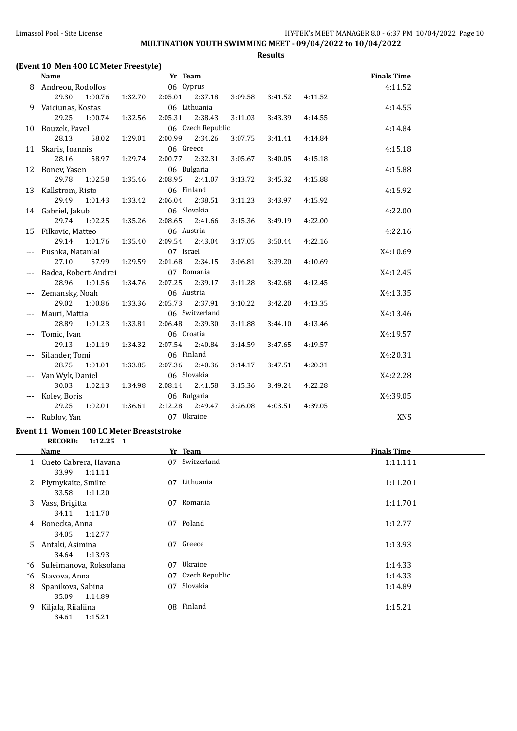# **MULTINATION YOUTH SWIMMING MEET - 09/04/2022 to 10/04/2022**

**Results**

# **(Event 10 Men 400 LC Meter Freestyle)**

|     | Name                             |         | Yr Team    |                        |         |         |         | <b>Finals Time</b> |  |
|-----|----------------------------------|---------|------------|------------------------|---------|---------|---------|--------------------|--|
| 8   | Andreou, Rodolfos                |         | 06 Cyprus  |                        |         |         |         | 4:11.52            |  |
|     | 29.30<br>1:00.76                 | 1:32.70 | 2:05.01    | 2:37.18                | 3:09.58 | 3:41.52 | 4:11.52 |                    |  |
| 9   | Vaiciunas, Kostas                |         |            | 06 Lithuania           |         |         |         | 4:14.55            |  |
|     | 29.25<br>1:00.74                 | 1:32.56 | 2:05.31    | 2:38.43                | 3:11.03 | 3:43.39 | 4:14.55 |                    |  |
|     | 10 Bouzek, Pavel                 |         |            | 06 Czech Republic      |         |         |         | 4:14.84            |  |
|     | 28.13<br>58.02                   | 1:29.01 | 2:00.99    | 2:34.26                | 3:07.75 | 3:41.41 | 4:14.84 |                    |  |
|     | 11 Skaris, Ioannis               |         | 06 Greece  |                        |         |         |         | 4:15.18            |  |
|     | 28.16<br>58.97                   | 1:29.74 | 2:00.77    | 2:32.31                | 3:05.67 | 3:40.05 | 4:15.18 |                    |  |
|     | 12 Bonev, Yasen                  |         |            | 06 Bulgaria            |         |         |         | 4:15.88            |  |
|     | 29.78<br>1:02.58                 | 1:35.46 | 2:08.95    | 2:41.07                | 3:13.72 | 3:45.32 | 4:15.88 |                    |  |
|     | 13 Kallstrom, Risto              |         | 06 Finland |                        |         |         |         | 4:15.92            |  |
|     | 29.49<br>1:01.43                 | 1:33.42 | 2:06.04    | 2:38.51                | 3:11.23 | 3:43.97 | 4:15.92 |                    |  |
|     | 14 Gabriel, Jakub                |         |            | 06 Slovakia            |         |         |         | 4:22.00            |  |
|     | 29.74<br>1:02.25                 | 1:35.26 | 2:08.65    | 2:41.66                | 3:15.36 | 3:49.19 | 4:22.00 |                    |  |
|     | 15 Filkovic, Matteo              |         | 06 Austria |                        |         |         |         | 4:22.16            |  |
|     | 29.14<br>1:01.76                 | 1:35.40 | 2:09.54    | 2:43.04                | 3:17.05 | 3:50.44 | 4:22.16 |                    |  |
|     | --- Pushka, Natanial             |         | 07 Israel  |                        |         |         |         | X4:10.69           |  |
|     | 27.10<br>57.99                   | 1:29.59 | 2:01.68    | 2:34.15                | 3:06.81 | 3:39.20 | 4:10.69 |                    |  |
|     | Badea, Robert-Andrei             |         |            | 07 Romania             |         |         |         | X4:12.45           |  |
|     | 28.96<br>1:01.56                 | 1:34.76 | 2:07.25    | 2:39.17                | 3:11.28 | 3:42.68 | 4:12.45 |                    |  |
|     | Zemansky, Noah                   |         | 06 Austria |                        |         |         |         | X4:13.35           |  |
|     | 29.02<br>1:00.86                 | 1:33.36 | 2:05.73    | 2:37.91                | 3:10.22 | 3:42.20 | 4:13.35 |                    |  |
| --- | Mauri, Mattia                    |         |            | 06 Switzerland         |         |         |         | X4:13.46           |  |
|     | 28.89<br>1:01.23                 | 1:33.81 | 2:06.48    | 2:39.30                | 3:11.88 | 3:44.10 | 4:13.46 |                    |  |
| --- | Tomic, Ivan                      |         | 06 Croatia |                        |         |         |         | X4:19.57           |  |
|     | 29.13<br>1:01.19                 | 1:34.32 | 2:07.54    | 2:40.84                | 3:14.59 | 3:47.65 | 4:19.57 |                    |  |
|     | Silander, Tomi                   |         | 06 Finland |                        |         |         |         | X4:20.31           |  |
|     | 28.75<br>1:01.01                 | 1:33.85 | 2:07.36    | 2:40.36                | 3:14.17 | 3:47.51 | 4:20.31 |                    |  |
|     | Van Wyk, Daniel                  |         |            | 06 Slovakia            |         |         |         | X4:22.28           |  |
|     | 30.03<br>1:02.13                 | 1:34.98 | 2:08.14    | 2:41.58                | 3:15.36 | 3:49.24 | 4:22.28 |                    |  |
| --- | Kolev, Boris<br>1:02.01<br>29.25 | 1:36.61 | 2:12.28    | 06 Bulgaria<br>2:49.47 | 3:26.08 | 4:03.51 | 4:39.05 | X4:39.05           |  |
|     | --- Rublov, Yan                  |         | 07 Ukraine |                        |         |         |         | <b>XNS</b>         |  |
|     |                                  |         |            |                        |         |         |         |                    |  |

#### **Event 11 Women 100 LC Meter Breaststroke**

**RECORD: 1:12.25 1**

|    | Name                                      |    | Yr Team        | <b>Finals Time</b> |
|----|-------------------------------------------|----|----------------|--------------------|
| 1  | Cueto Cabrera, Havana<br>33.99<br>1:11.11 |    | 07 Switzerland | 1:11.111           |
| 2  | Plytnykaite, Smilte<br>33.58<br>1:11.20   | 07 | Lithuania      | 1:11.201           |
| 3  | Vass, Brigitta<br>1:11.70<br>34.11        | 07 | Romania        | 1:11.701           |
| 4  | Bonecka, Anna<br>1:12.77<br>34.05         |    | 07 Poland      | 1:12.77            |
| 5  | Antaki, Asimina<br>1:13.93<br>34.64       |    | 07 Greece      | 1:13.93            |
| *6 | Suleimanova, Roksolana                    | 07 | Ukraine        | 1:14.33            |
| *6 | Stavova, Anna                             | 07 | Czech Republic | 1:14.33            |
| 8  | Spanikova, Sabina<br>1:14.89<br>35.09     | 07 | Slovakia       | 1:14.89            |
| 9  | Kiljala, Riialiina<br>1:15.21<br>34.61    |    | 08 Finland     | 1:15.21            |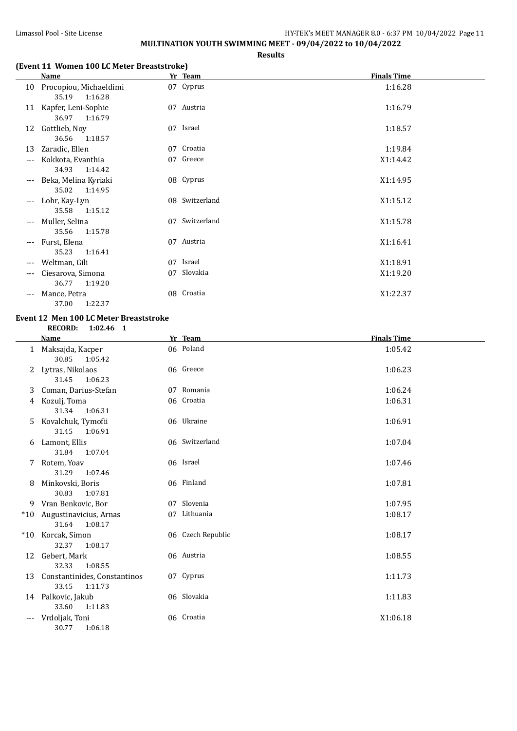#### Limassol Pool - Site License **HY-TEK's MEET MANAGER 8.0 - 6:37 PM 10/04/2022** Page 11 **MULTINATION YOUTH SWIMMING MEET - 09/04/2022 to 10/04/2022**

**Results**

#### **(Event 11 Women 100 LC Meter Breaststroke)**

|                     | <b>Name</b>                                |    | Yr Team        | <b>Finals Time</b> |
|---------------------|--------------------------------------------|----|----------------|--------------------|
| 10                  | Procopiou, Michaeldimi<br>35.19<br>1:16.28 |    | 07 Cyprus      | 1:16.28            |
| 11                  | Kapfer, Leni-Sophie<br>36.97<br>1:16.79    |    | 07 Austria     | 1:16.79            |
| 12                  | Gottlieb, Noy<br>36.56<br>1:18.57          |    | 07 Israel      | 1:18.57            |
| 13                  | Zaradic, Ellen                             |    | 07 Croatia     | 1:19.84            |
| $\qquad \qquad - -$ | Kokkota, Evanthia<br>34.93<br>1:14.42      |    | 07 Greece      | X1:14.42           |
| $- - -$             | Beka, Melina Kyriaki<br>35.02<br>1:14.95   |    | 08 Cyprus      | X1:14.95           |
| $---$               | Lohr, Kay-Lyn<br>35.58<br>1:15.12          |    | 08 Switzerland | X1:15.12           |
| $---$               | Muller, Selina<br>35.56<br>1:15.78         | 07 | Switzerland    | X1:15.78           |
| $---$               | Furst, Elena<br>35.23<br>1:16.41           | 07 | Austria        | X1:16.41           |
| $---$               | Weltman, Gili                              |    | 07 Israel      | X1:18.91           |
| ---                 | Ciesarova, Simona<br>36.77<br>1:19.20      | 07 | Slovakia       | X1:19.20           |
| ---                 | Mance, Petra                               |    | 08 Croatia     | X1:22.37           |

37.00 1:22.37

# **Event 12 Men 100 LC Meter Breaststroke**

**RECORD: 1:02.46 1**

|              | Name                                             | Yr Team           | <b>Finals Time</b> |
|--------------|--------------------------------------------------|-------------------|--------------------|
| $\mathbf{1}$ | Maksajda, Kacper<br>30.85<br>1:05.42             | 06 Poland         | 1:05.42            |
| 2            | Lytras, Nikolaos<br>31.45<br>1:06.23             | 06 Greece         | 1:06.23            |
| 3.           | Coman, Darius-Stefan                             | 07 Romania        | 1:06.24            |
| 4            | Kozulj, Toma<br>1:06.31<br>31.34                 | 06 Croatia        | 1:06.31            |
| 5.           | Kovalchuk, Tymofii<br>31.45<br>1:06.91           | 06 Ukraine        | 1:06.91            |
| 6            | Lamont, Ellis<br>31.84<br>1:07.04                | 06 Switzerland    | 1:07.04            |
| 7            | Rotem, Yoav<br>31.29<br>1:07.46                  | 06 Israel         | 1:07.46            |
| 8            | Minkovski, Boris<br>30.83<br>1:07.81             | 06 Finland        | 1:07.81            |
| 9.           | Vran Benkovic, Bor                               | 07 Slovenia       | 1:07.95            |
| $*10$        | Augustinavicius, Arnas<br>31.64<br>1:08.17       | 07 Lithuania      | 1:08.17            |
| $*10$        | Korcak, Simon<br>32.37<br>1:08.17                | 06 Czech Republic | 1:08.17            |
| 12           | Gebert, Mark<br>32.33<br>1:08.55                 | 06 Austria        | 1:08.55            |
| 13           | Constantinides, Constantinos<br>33.45<br>1:11.73 | 07 Cyprus         | 1:11.73            |
|              | 14 Palkovic, Jakub<br>33.60<br>1:11.83           | 06 Slovakia       | 1:11.83            |
| $---$        | Vrdoljak, Toni<br>30.77<br>1:06.18               | 06 Croatia        | X1:06.18           |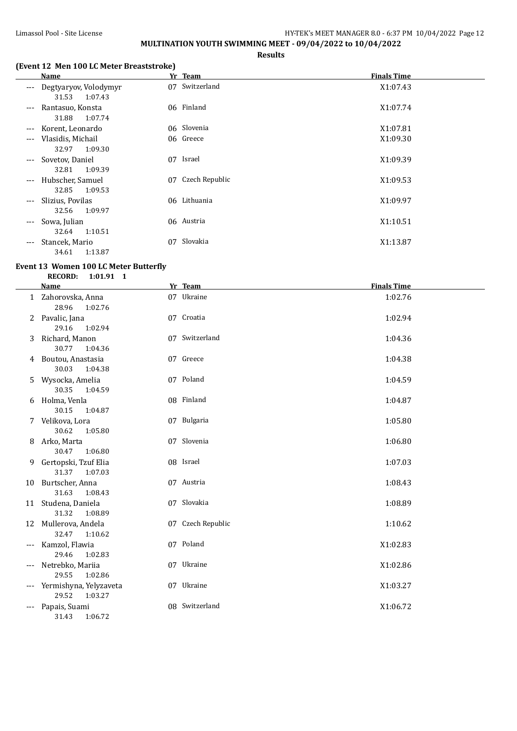## Limassol Pool - Site License **HY-TEK's MEET MANAGER 8.0 - 6:37 PM** 10/04/2022 Page 12 **MULTINATION YOUTH SWIMMING MEET - 09/04/2022 to 10/04/2022**

**Results**

## **(Event 12 Men 100 LC Meter Breaststroke)**

|                     | <b>Name</b>                               |    | Yr Team        | <b>Finals Time</b> |
|---------------------|-------------------------------------------|----|----------------|--------------------|
| $---$               | Degtyaryov, Volodymyr<br>31.53<br>1:07.43 | 07 | Switzerland    | X1:07.43           |
| $---$               | Rantasuo, Konsta<br>31.88<br>1:07.74      |    | 06 Finland     | X1:07.74           |
| $---$               | Korent, Leonardo                          |    | 06 Slovenia    | X1:07.81           |
| $\qquad \qquad - -$ | Vlasidis, Michail<br>1:09.30<br>32.97     |    | 06 Greece      | X1:09.30           |
|                     | --- Sovetov, Daniel<br>32.81<br>1:09.39   | 07 | Israel         | X1:09.39           |
| $---$               | Hubscher, Samuel<br>32.85<br>1:09.53      | 07 | Czech Republic | X1:09.53           |
| $---$               | Slizius, Povilas<br>1:09.97<br>32.56      |    | 06 Lithuania   | X1:09.97           |
| $---$               | Sowa, Julian<br>1:10.51<br>32.64          |    | 06 Austria     | X1:10.51           |
| $---$               | Stancek, Mario<br>1:13.87<br>34.61        | 07 | Slovakia       | X1:13.87           |

#### **Event 13 Women 100 LC Meter Butterfly RECORD: 1:01.91 1**

|     | <b>Name</b>                                | Yr Team           | <b>Finals Time</b> |
|-----|--------------------------------------------|-------------------|--------------------|
|     | 1 Zahorovska, Anna<br>28.96<br>1:02.76     | 07 Ukraine        | 1:02.76            |
| 2   | Pavalic, Jana<br>29.16<br>1:02.94          | 07 Croatia        | 1:02.94            |
| 3   | Richard, Manon<br>30.77<br>1:04.36         | 07 Switzerland    | 1:04.36            |
| 4   | Boutou, Anastasia<br>30.03<br>1:04.38      | 07 Greece         | 1:04.38            |
| 5   | Wysocka, Amelia<br>30.35<br>1:04.59        | 07 Poland         | 1:04.59            |
| 6   | Holma, Venla<br>30.15<br>1:04.87           | 08 Finland        | 1:04.87            |
| 7   | Velikova, Lora<br>30.62<br>1:05.80         | 07 Bulgaria       | 1:05.80            |
| 8   | Arko, Marta<br>30.47<br>1:06.80            | 07 Slovenia       | 1:06.80            |
| 9   | Gertopski, Tzuf Elia<br>31.37<br>1:07.03   | 08 Israel         | 1:07.03            |
| 10  | Burtscher, Anna<br>31.63<br>1:08.43        | 07 Austria        | 1:08.43            |
|     | 11 Studena, Daniela<br>31.32<br>1:08.89    | 07 Slovakia       | 1:08.89            |
|     | 12 Mullerova, Andela<br>32.47<br>1:10.62   | 07 Czech Republic | 1:10.62            |
| --- | Kamzol, Flawia<br>29.46<br>1:02.83         | 07 Poland         | X1:02.83           |
| --- | Netrebko, Mariia<br>29.55<br>1:02.86       | 07 Ukraine        | X1:02.86           |
| --- | Yermishyna, Yelyzaveta<br>29.52<br>1:03.27 | 07 Ukraine        | X1:03.27           |
| --- | Papais, Suami<br>31.43<br>1:06.72          | 08 Switzerland    | X1:06.72           |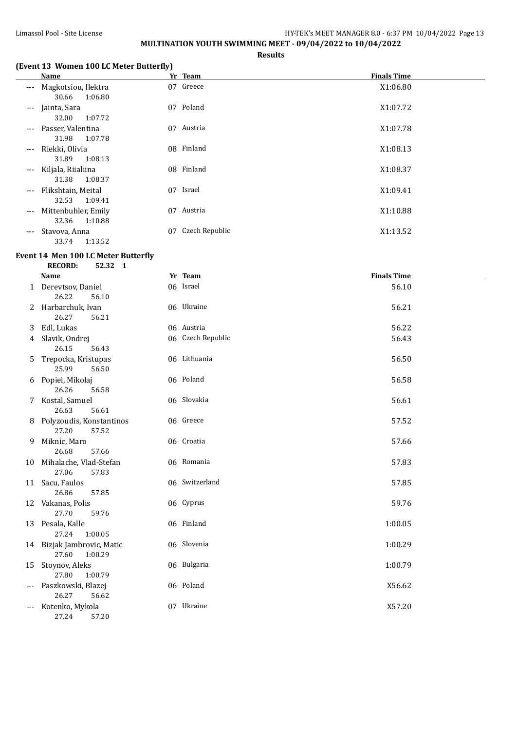#### Limassol Pool - Site License **HY-TEK's MEET MANAGER 8.0 - 6:37 PM 10/04/2022** Page 13 **MULTINATION YOUTH SWIMMING MEET - 09/04/2022 to 10/04/2022**

**Results**

#### **(Event 13 Women 100 LC Meter Butterfly)**

|                     | Name                                    |    | Yr Team        | <b>Finals Time</b> |
|---------------------|-----------------------------------------|----|----------------|--------------------|
| $---$               | Magkotsiou, Ilektra<br>1:06.80<br>30.66 |    | 07 Greece      | X1:06.80           |
| $---$               | Jainta, Sara<br>32.00<br>1:07.72        | 07 | Poland         | X1:07.72           |
| $---$               | Passer, Valentina<br>31.98<br>1:07.78   | 07 | Austria        | X1:07.78           |
| $---$               | Riekki, Olivia<br>31.89<br>1:08.13      |    | 08 Finland     | X1:08.13           |
| $\qquad \qquad - -$ | Kiljala, Riialiina<br>1:08.37<br>31.38  | 08 | Finland        | X1:08.37           |
| $---$               | Flikshtain, Meital<br>1:09.41<br>32.53  | 07 | Israel         | X1:09.41           |
| $\qquad \qquad - -$ | Mittenbuhler, Emily<br>32.36<br>1:10.88 | 07 | Austria        | X1:10.88           |
| $\qquad \qquad -$   | Stavova, Anna<br>1:13.52<br>33.74       | 07 | Czech Republic | X1:13.52           |

#### **Event 14 Men 100 LC Meter Butterfly**

**RECORD: 52.32 1**

|       | <b>Name</b>                                    | Yr Team           | <b>Finals Time</b> |
|-------|------------------------------------------------|-------------------|--------------------|
|       | 1 Derevtsov, Daniel<br>26.22<br>56.10          | 06 Israel         | 56.10              |
| 2     | Harbarchuk, Ivan<br>26.27<br>56.21             | 06 Ukraine        | 56.21              |
| 3     | Edl, Lukas                                     | 06 Austria        | 56.22              |
| 4     | Slavik, Ondrej<br>26.15<br>56.43               | 06 Czech Republic | 56.43              |
| 5     | Trepocka, Kristupas<br>25.99<br>56.50          | 06 Lithuania      | 56.50              |
| 6     | Popiel, Mikolaj<br>26.26<br>56.58              | 06 Poland         | 56.58              |
| 7     | Kostal, Samuel<br>26.63<br>56.61               | 06 Slovakia       | 56.61              |
| 8     | Polyzoudis, Konstantinos<br>27.20<br>57.52     | 06 Greece         | 57.52              |
| 9     | Miknic, Maro<br>26.68<br>57.66                 | 06 Croatia        | 57.66              |
| 10    | Mihalache, Vlad-Stefan<br>27.06<br>57.83       | 06 Romania        | 57.83              |
| 11    | Sacu, Faulos<br>26.86<br>57.85                 | 06 Switzerland    | 57.85              |
|       | 12 Vakanas, Polis<br>27.70<br>59.76            | 06 Cyprus         | 59.76              |
| 13    | Pesala, Kalle<br>27.24<br>1:00.05              | 06 Finland        | 1:00.05            |
|       | 14 Bizjak Jambrovic, Matic<br>27.60<br>1:00.29 | 06 Slovenia       | 1:00.29            |
| 15    | Stoynov, Aleks<br>27.80<br>1:00.79             | 06 Bulgaria       | 1:00.79            |
| ---   | Paszkowski, Blazej<br>26.27<br>56.62           | 06 Poland         | X56.62             |
| $---$ | Kotenko, Mykola<br>27.24<br>57.20              | 07 Ukraine        | X57.20             |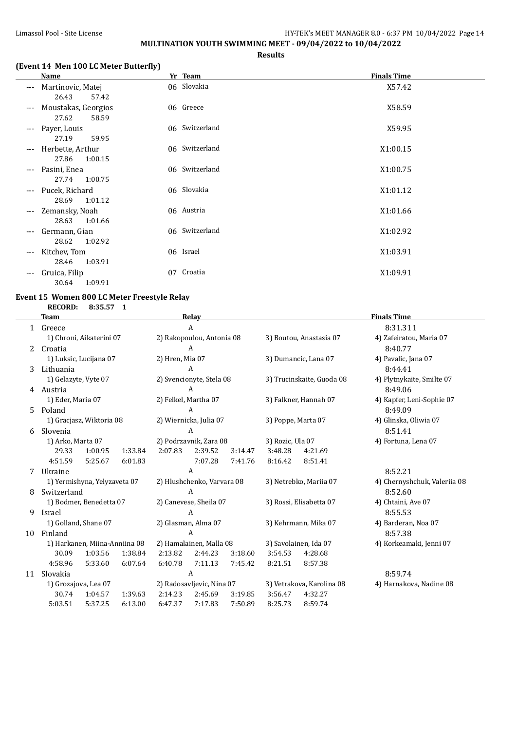## Limassol Pool - Site License **HY-TEK's MEET MANAGER 8.0 - 6:37 PM** 10/04/2022 Page 14 **MULTINATION YOUTH SWIMMING MEET - 09/04/2022 to 10/04/2022**

**Results**

## **(Event 14 Men 100 LC Meter Butterfly)**

|                     | Name                                  |    | Yr Team        | <b>Finals Time</b> |
|---------------------|---------------------------------------|----|----------------|--------------------|
| $---$               | Martinovic, Matej<br>26.43<br>57.42   |    | 06 Slovakia    | X57.42             |
| $---$               | Moustakas, Georgios<br>27.62<br>58.59 |    | 06 Greece      | X58.59             |
| $---$               | Payer, Louis<br>27.19<br>59.95        |    | 06 Switzerland | X59.95             |
| $---$               | Herbette, Arthur<br>27.86<br>1:00.15  |    | 06 Switzerland | X1:00.15           |
| $\cdots$            | Pasini, Enea<br>27.74<br>1:00.75      |    | 06 Switzerland | X1:00.75           |
| $\qquad \qquad - -$ | Pucek, Richard<br>28.69<br>1:01.12    |    | 06 Slovakia    | X1:01.12           |
| $---$               | Zemansky, Noah<br>28.63<br>1:01.66    |    | 06 Austria     | X1:01.66           |
| $\cdots$            | Germann, Gian<br>1:02.92<br>28.62     |    | 06 Switzerland | X1:02.92           |
| ---                 | Kitchev, Tom<br>1:03.91<br>28.46      |    | 06 Israel      | X1:03.91           |
| ---                 | Gruica, Filip<br>30.64<br>1:09.91     | 07 | Croatia        | X1:09.91           |

#### **Event 15 Women 800 LC Meter Freestyle Relay RECORD: 8:35.57 1**

| ECORD: | 8:35.5 |
|--------|--------|
|        |        |

|              | <b>Team</b><br>Relay |                               |         |                            |                           | <b>Finals Time</b> |                         |                           |                              |
|--------------|----------------------|-------------------------------|---------|----------------------------|---------------------------|--------------------|-------------------------|---------------------------|------------------------------|
| $\mathbf{1}$ | Greece               |                               |         |                            | A                         |                    | 8:31.311                |                           |                              |
|              |                      | 1) Chroni, Aikaterini 07      |         |                            | 2) Rakopoulou, Antonia 08 |                    |                         | 3) Boutou, Anastasia 07   | 4) Zafeiratou, Maria 07      |
| 2            | Croatia              |                               |         |                            | A                         |                    |                         |                           | 8:40.77                      |
|              |                      | 1) Luksic, Lucijana 07        |         | 2) Hren, Mia 07            |                           |                    |                         | 3) Dumancic, Lana 07      | 4) Pavalic, Jana 07          |
| 3            | Lithuania            |                               |         |                            | A                         |                    |                         |                           | 8:44.41                      |
|              | 1) Gelazyte, Vyte 07 |                               |         |                            | 2) Svencionyte, Stela 08  |                    |                         | 3) Trucinskaite, Guoda 08 | 4) Plytnykaite, Smilte 07    |
| 4            | Austria              |                               |         |                            | A                         |                    |                         |                           | 8:49.06                      |
|              | 1) Eder, Maria 07    |                               |         | 2) Felkel, Martha 07       |                           |                    |                         | 3) Falkner, Hannah 07     | 4) Kapfer, Leni-Sophie 07    |
| 5.           | Poland               |                               |         |                            | A                         |                    |                         |                           | 8:49.09                      |
|              |                      | 1) Gracjasz, Wiktoria 08      |         |                            | 2) Wiernicka, Julia 07    |                    | 3) Poppe, Marta 07      |                           | 4) Glinska, Oliwia 07        |
| 6            | Slovenia             |                               |         | A                          |                           |                    |                         |                           | 8:51.41                      |
|              | 1) Arko, Marta 07    |                               |         | 2) Podrzavnik, Zara 08     |                           | 3) Rozic, Ula 07   |                         | 4) Fortuna, Lena 07       |                              |
|              | 29.33                | 1:00.95                       | 1:33.84 | 2:07.83                    | 2:39.52                   | 3:14.47            | 3:48.28                 | 4:21.69                   |                              |
|              | 4:51.59              | 5:25.67                       | 6:01.83 |                            | 7:07.28                   | 7:41.76            | 8:16.42                 | 8:51.41                   |                              |
| 7            | Ukraine              |                               |         | A                          |                           |                    |                         |                           | 8:52.21                      |
|              |                      | 1) Yermishyna, Yelyzaveta 07  |         | 2) Hlushchenko, Varvara 08 |                           |                    | 3) Netrebko, Mariia 07  |                           | 4) Chernyshchuk, Valeriia 08 |
| 8            | Switzerland          |                               |         |                            | A                         |                    |                         |                           | 8:52.60                      |
|              |                      | 1) Bodmer, Benedetta 07       |         | 2) Canevese, Sheila 07     |                           |                    | 3) Rossi, Elisabetta 07 |                           | 4) Chtaini, Ave 07           |
| 9            | Israel               |                               |         |                            | A                         |                    |                         |                           | 8:55.53                      |
|              |                      | 1) Golland, Shane 07          |         | 2) Glasman, Alma 07        |                           |                    |                         | 3) Kehrmann, Mika 07      | 4) Barderan, Noa 07          |
| 10           | Finland              |                               |         |                            | A                         |                    |                         |                           | 8:57.38                      |
|              |                      | 1) Harkanen, Miina-Anniina 08 |         |                            | 2) Hamalainen, Malla 08   |                    |                         | 3) Savolainen, Ida 07     | 4) Korkeamaki, Jenni 07      |
|              | 30.09                | 1:03.56                       | 1:38.84 | 2:13.82                    | 2:44.23                   | 3:18.60            | 3:54.53                 | 4:28.68                   |                              |
|              | 4:58.96              | 5:33.60                       | 6:07.64 | 6:40.78                    | 7:11.13                   | 7:45.42            | 8:21.51                 | 8:57.38                   |                              |
| 11           | Slovakia             |                               |         |                            | A                         |                    |                         |                           | 8:59.74                      |
|              |                      | 1) Grozajova, Lea 07          |         |                            | 2) Radosavljevic, Nina 07 |                    |                         | 3) Vetrakova, Karolina 08 | 4) Harnakova, Nadine 08      |
|              | 30.74                | 1:04.57                       | 1:39.63 | 2:14.23                    | 2:45.69                   | 3:19.85            | 3:56.47                 | 4:32.27                   |                              |
|              | 5:03.51              | 5:37.25                       | 6:13.00 | 6:47.37                    | 7:17.83                   | 7:50.89            | 8:25.73                 | 8:59.74                   |                              |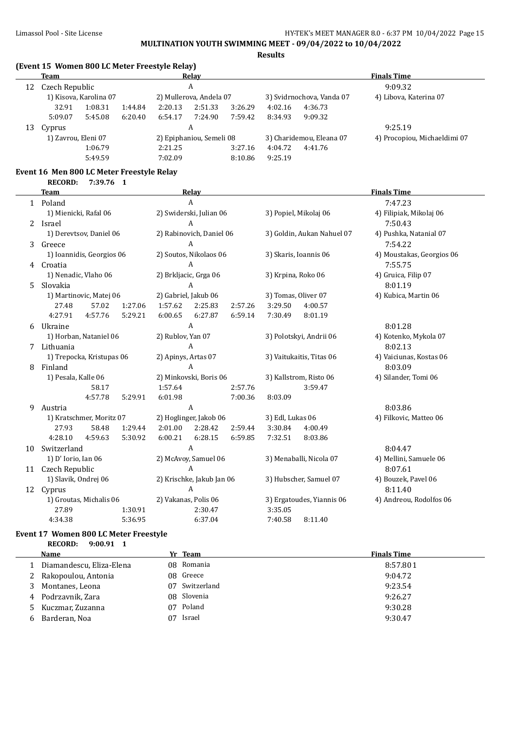## Limassol Pool - Site License **HY-TEK's MEET MANAGER 8.0 - 6:37 PM 10/04/2022** Page 15 **MULTINATION YOUTH SWIMMING MEET - 09/04/2022 to 10/04/2022**

**Results**

#### **(Event 15 Women 800 LC Meter Freestyle Relay)**

|                     |             |                          |                        |                          |                 |                              |         | <b>Finals Time</b>        |
|---------------------|-------------|--------------------------|------------------------|--------------------------|-----------------|------------------------------|---------|---------------------------|
|                     |             |                          |                        |                          |                 |                              |         | 9:09.32                   |
|                     |             |                          |                        |                          |                 |                              |         | 4) Libova, Katerina 07    |
| 32.91               | 1:08.31     | 1:44.84                  | 2:20.13                | 2:51.33                  | 3:26.29         | 4:02.16                      | 4:36.73 |                           |
| 5:09.07             | 5:45.08     | 6:20.40                  | 6:54.17                | 7:24.90                  | 7:59.42         | 8:34.93                      | 9:09.32 |                           |
| Cyprus              |             |                          |                        |                          |                 |                              |         | 9:25.19                   |
| 1) Zavrou, Eleni 07 |             | 2) Epiphaniou, Semeli 08 |                        | 3) Charidemou, Eleana 07 |                 | 4) Procopiou, Michaeldimi 07 |         |                           |
|                     | 1:06.79     |                          | 2:21.25                |                          | 3:27.16         | 4:04.72                      | 4:41.76 |                           |
|                     | 5:49.59     |                          | 7:02.09                |                          | 8:10.86         | 9:25.19                      |         |                           |
|                     | <b>Team</b> | Czech Republic           | 1) Kisova, Karolina 07 |                          | Relay<br>A<br>A | 2) Mullerova, Andela 07      |         | 3) Svidrnochova, Vanda 07 |

## **Event 16 Men 800 LC Meter Freestyle Relay**

|              | <b>RECORD:</b><br>7:39.76 1   |                               |                                                      |  |
|--------------|-------------------------------|-------------------------------|------------------------------------------------------|--|
|              | <b>Team</b>                   | Relay                         | <b>Finals Time</b>                                   |  |
| $\mathbf{1}$ | Poland                        | A                             | 7:47.23                                              |  |
|              | 1) Mienicki, Rafal 06         | 2) Swiderski, Julian 06       | 4) Filipiak, Mikolaj 06<br>3) Popiel, Mikolaj 06     |  |
| 2            | Israel                        | A                             | 7:50.43                                              |  |
|              | 1) Derevtsov, Daniel 06       | 2) Rabinovich, Daniel 06      | 3) Goldin, Aukan Nahuel 07<br>4) Pushka, Natanial 07 |  |
| 3            | Greece                        | A                             | 7:54.22                                              |  |
|              | 1) Ioannidis, Georgios 06     | 2) Soutos, Nikolaos 06        | 3) Skaris, Ioannis 06<br>4) Moustakas, Georgios 06   |  |
| 4            | Croatia                       | A                             | 7:55.75                                              |  |
|              | 1) Nenadic, Vlaho 06          | 2) Brkljacic, Grga 06         | 3) Krpina, Roko 06<br>4) Gruica, Filip 07            |  |
| 5.           | Slovakia                      | A                             | 8:01.19                                              |  |
|              | 1) Martinovic, Matej 06       | 2) Gabriel, Jakub 06          | 3) Tomas, Oliver 07<br>4) Kubica, Martin 06          |  |
|              | 27.48<br>57.02<br>1:27.06     | 1:57.62<br>2:25.83<br>2:57.26 | 3:29.50<br>4:00.57                                   |  |
|              | 4:57.76<br>5:29.21<br>4:27.91 | 6:00.65<br>6:27.87<br>6:59.14 | 7:30.49<br>8:01.19                                   |  |
| 6            | Ukraine                       | A                             | 8:01.28                                              |  |
|              | 1) Horban, Nataniel 06        | 2) Rublov, Yan 07             | 3) Polotskyi, Andrii 06<br>4) Kotenko, Mykola 07     |  |
| 7            | Lithuania                     | A                             | 8:02.13                                              |  |
|              | 1) Trepocka, Kristupas 06     | 2) Apinys, Artas 07           | 3) Vaitukaitis, Titas 06<br>4) Vaiciunas, Kostas 06  |  |
| 8            | Finland                       | A                             | 8:03.09                                              |  |
|              | 1) Pesala, Kalle 06           | 2) Minkovski, Boris 06        | 3) Kallstrom, Risto 06<br>4) Silander, Tomi 06       |  |
|              | 58.17                         | 1:57.64<br>2:57.76            | 3:59.47                                              |  |
|              | 4:57.78<br>5:29.91            | 6:01.98<br>7:00.36            | 8:03.09                                              |  |
| 9            | Austria                       | A                             | 8:03.86                                              |  |
|              | 1) Kratschmer, Moritz 07      | 2) Hoglinger, Jakob 06        | 3) Edl, Lukas 06<br>4) Filkovic, Matteo 06           |  |
|              | 27.93<br>58.48<br>1:29.44     | 2:28.42<br>2:01.00<br>2:59.44 | 3:30.84<br>4:00.49                                   |  |
|              | 4:28.10<br>4:59.63<br>5:30.92 | 6:28.15<br>6:00.21<br>6:59.85 | 8:03.86<br>7:32.51                                   |  |
| 10           | Switzerland                   | A                             | 8:04.47                                              |  |
|              | 1) D' Iorio, Ian 06           | 2) McAvoy, Samuel 06          | 3) Menaballi, Nicola 07<br>4) Mellini, Samuele 06    |  |
| 11           | Czech Republic                | $\overline{A}$                | 8:07.61                                              |  |
|              | 1) Slavik, Ondrej 06          | 2) Krischke, Jakub Jan 06     | 4) Bouzek, Pavel 06<br>3) Hubscher, Samuel 07        |  |
| 12           | Cyprus                        | A                             | 8:11.40                                              |  |
|              | 1) Groutas, Michalis 06       | 2) Vakanas, Polis 06          | 3) Ergatoudes, Yiannis 06<br>4) Andreou, Rodolfos 06 |  |
|              | 27.89<br>1:30.91              | 2:30.47                       | 3:35.05                                              |  |
|              | 4:34.38<br>5:36.95            | 6:37.04                       | 7:40.58<br>8:11.40                                   |  |

#### **Event 17 Women 800 LC Meter Freestyle RECORD: 9:00.91 1**

 $\overline{a}$ 

|   | Name                     |    | Yr Team     | <b>Finals Time</b> |
|---|--------------------------|----|-------------|--------------------|
|   | Diamandescu, Eliza-Elena |    | 08 Romania  | 8:57.801           |
|   | Rakopoulou, Antonia      |    | 08 Greece   | 9:04.72            |
|   | Montanes, Leona          | 07 | Switzerland | 9:23.54            |
| 4 | Podrzavnik, Zara         |    | 08 Slovenia | 9:26.27            |
|   | Kuczmar, Zuzanna         | 07 | Poland      | 9:30.28            |
|   | Barderan, Noa            | 07 | Israel      | 9:30.47            |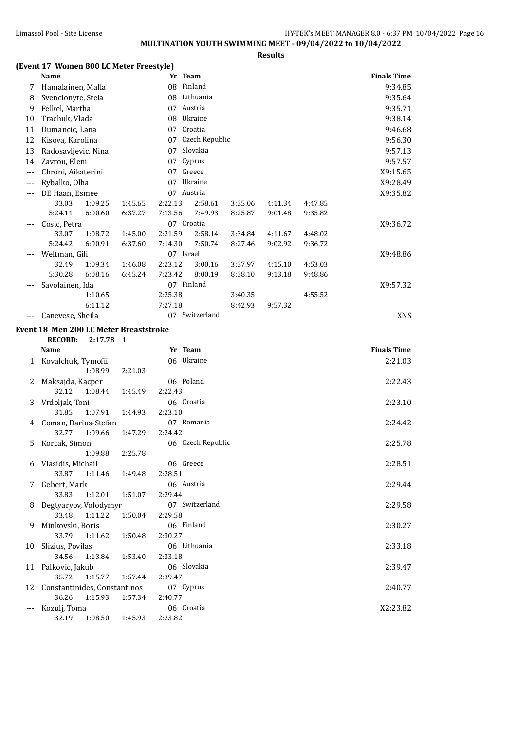# **MULTINATION YOUTH SWIMMING MEET - 09/04/2022 to 10/04/2022**

**Results**

## **(Event 17 Women 800 LC Meter Freestyle)**

|     | <b>Name</b>         |         |         |           | Yr Team        |         |         |         | <b>Finals Time</b> |  |
|-----|---------------------|---------|---------|-----------|----------------|---------|---------|---------|--------------------|--|
| 7   | Hamalainen, Malla   |         |         | 08        | Finland        |         |         |         | 9:34.85            |  |
| 8   | Svencionyte, Stela  |         |         | 08        | Lithuania      |         |         |         | 9:35.64            |  |
| 9   | Felkel, Martha      |         |         | 07        | Austria        |         |         |         | 9:35.71            |  |
| 10  | Trachuk, Vlada      |         |         | 08        | Ukraine        |         |         |         | 9:38.14            |  |
| 11  | Dumancic, Lana      |         |         | 07        | Croatia        |         |         |         | 9:46.68            |  |
| 12  | Kisova, Karolina    |         |         | 07        | Czech Republic |         |         |         | 9:56.30            |  |
| 13  | Radosavljevic, Nina |         |         | 07        | Slovakia       |         |         |         | 9:57.13            |  |
| 14  | Zavrou, Eleni       |         |         | 07        | Cyprus         |         |         |         | 9:57.57            |  |
| --- | Chroni, Aikaterini  |         |         | 07        | Greece         |         |         |         | X9:15.65           |  |
| --- | Rybalko, Olha       |         |         | 07        | Ukraine        |         |         |         | X9:28.49           |  |
| --- | DE Haan, Esmee      |         |         | 07        | Austria        |         |         |         | X9:35.82           |  |
|     | 33.03               | 1:09.25 | 1:45.65 | 2:22.13   | 2:58.61        | 3:35.06 | 4:11.34 | 4:47.85 |                    |  |
|     | 5:24.11             | 6:00.60 | 6:37.27 | 7:13.56   | 7:49.93        | 8:25.87 | 9:01.48 | 9:35.82 |                    |  |
| --- | Cosic, Petra        |         |         |           | 07 Croatia     |         |         |         | X9:36.72           |  |
|     | 33.07               | 1:08.72 | 1:45.00 | 2:21.59   | 2:58.14        | 3:34.84 | 4:11.67 | 4:48.02 |                    |  |
|     | 5:24.42             | 6:00.91 | 6:37.60 | 7:14.30   | 7:50.74        | 8:27.46 | 9:02.92 | 9:36.72 |                    |  |
| --- | Weltman, Gili       |         |         | 07 Israel |                |         |         |         | X9:48.86           |  |
|     | 32.49               | 1:09.34 | 1:46.08 | 2:23.12   | 3:00.16        | 3:37.97 | 4:15.10 | 4:53.03 |                    |  |
|     | 5:30.28             | 6:08.16 | 6:45.24 | 7:23.42   | 8:00.19        | 8:38.10 | 9:13.18 | 9:48.86 |                    |  |
|     | Savolainen, Ida     |         |         | 07        | Finland        |         |         |         | X9:57.32           |  |
|     |                     | 1:10.65 |         | 2:25.38   |                | 3:40.35 |         | 4:55.52 |                    |  |
|     |                     | 6:11.12 |         | 7:27.18   |                | 8:42.93 | 9:57.32 |         |                    |  |
| --- | Canevese, Sheila    |         |         | 07        | Switzerland    |         |         |         | <b>XNS</b>         |  |

#### **Event 18 Men 200 LC Meter Breaststroke**

**RECORD: 2:17.78 1**

|     | Name                         |         | Yr Team           | <b>Finals Time</b> |
|-----|------------------------------|---------|-------------------|--------------------|
|     | 1 Kovalchuk, Tymofii         |         | 06 Ukraine        | 2:21.03            |
|     | 1:08.99                      | 2:21.03 |                   |                    |
|     | Maksajda, Kacper             |         | 06 Poland         | 2:22.43            |
|     | 32.12<br>1:08.44             | 1:45.49 | 2:22.43           |                    |
| 3   | Vrdoljak, Toni               |         | 06 Croatia        | 2:23.10            |
|     | 31.85<br>1:07.91             | 1:44.93 | 2:23.10           |                    |
| 4   | Coman, Darius-Stefan         |         | 07 Romania        | 2:24.42            |
|     | 32.77 1:09.66                | 1:47.29 | 2:24.42           |                    |
| 5   | Korcak, Simon                |         | 06 Czech Republic | 2:25.78            |
|     | 1:09.88                      | 2:25.78 |                   |                    |
| 6   | Vlasidis, Michail            |         | 06 Greece         | 2:28.51            |
|     | 33.87<br>1:11.46             | 1:49.48 | 2:28.51           |                    |
|     | Gebert, Mark                 |         | 06 Austria        | 2:29.44            |
|     | 1:12.01<br>33.83             | 1:51.07 | 2:29.44           |                    |
| 8   | Degtyaryov, Volodymyr        |         | 07 Switzerland    | 2:29.58            |
|     | 33.48 1:11.22                | 1:50.04 | 2:29.58           |                    |
| 9   | Minkovski, Boris             |         | 06 Finland        | 2:30.27            |
|     | 33.79 1:11.62                | 1:50.48 | 2:30.27           |                    |
| 10  | Slizius, Povilas             |         | 06 Lithuania      | 2:33.18            |
|     | 34.56<br>1:13.84             | 1:53.40 | 2:33.18           |                    |
|     | 11 Palkovic, Jakub           |         | 06 Slovakia       | 2:39.47            |
|     | 35.72<br>1:15.77             | 1:57.44 | 2:39.47           |                    |
| 12  | Constantinides, Constantinos |         | 07 Cyprus         | 2:40.77            |
|     | 36.26<br>1:15.93             | 1:57.34 | 2:40.77           |                    |
| --- | Kozulj, Toma                 |         | 06 Croatia        | X2:23.82           |
|     | 32.19<br>1:08.50             | 1:45.93 | 2:23.82           |                    |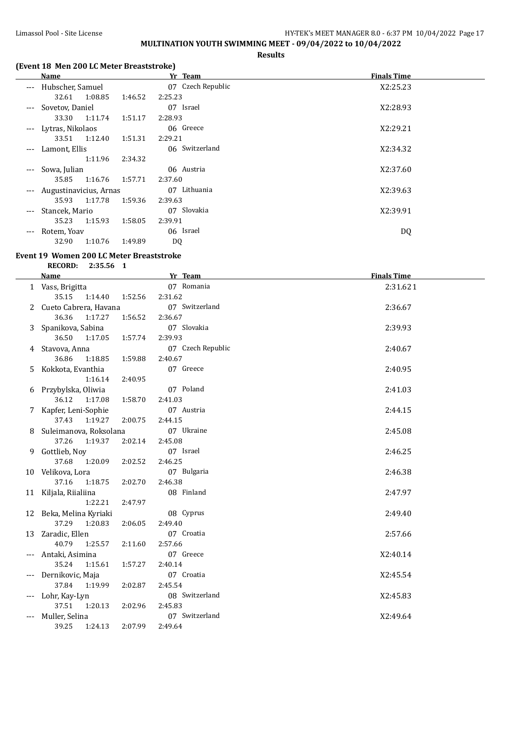## Limassol Pool - Site License **HY-TEK's MEET MANAGER 8.0 - 6:37 PM** 10/04/2022 Page 17 **MULTINATION YOUTH SWIMMING MEET - 09/04/2022 to 10/04/2022**

**Results**

## **(Event 18 Men 200 LC Meter Breaststroke)**

|                     | <b>Name</b>            |         |         | Yr Team           | <b>Finals Time</b> |
|---------------------|------------------------|---------|---------|-------------------|--------------------|
| $---$               | Hubscher, Samuel       |         |         | 07 Czech Republic | X2:25.23           |
|                     | 32.61                  | 1:08.85 | 1:46.52 | 2:25.23           |                    |
|                     | --- Sovetov, Daniel    |         |         | 07 Israel         | X2:28.93           |
|                     | 33.30                  | 1:11.74 | 1:51.17 | 2:28.93           |                    |
| $---$               | Lytras, Nikolaos       |         |         | 06 Greece         | X2:29.21           |
|                     | 33.51                  | 1:12.40 | 1:51.31 | 2:29.21           |                    |
| $---$               | Lamont, Ellis          |         |         | 06 Switzerland    | X2:34.32           |
|                     |                        | 1:11.96 | 2:34.32 |                   |                    |
| $\qquad \qquad - -$ | Sowa, Julian           |         |         | 06 Austria        | X2:37.60           |
|                     | 35.85                  | 1:16.76 | 1:57.71 | 2:37.60           |                    |
| $---$               | Augustinavicius, Arnas |         |         | 07 Lithuania      | X2:39.63           |
|                     | 35.93                  | 1:17.78 | 1:59.36 | 2:39.63           |                    |
| $---$               | Stancek, Mario         |         |         | 07 Slovakia       | X2:39.91           |
|                     | 35.23                  | 1:15.93 | 1:58.05 | 2:39.91           |                    |
| $---$               | Rotem, Yoav            |         |         | 06 Israel         | DQ                 |
|                     | 32.90                  | 1:10.76 | 1:49.89 | D <sub>0</sub>    |                    |

#### **Event 19 Women 200 LC Meter Breaststroke**

**RECORD: 2:35.56 1**

|       | <b>Name</b>                 | Yr Team           | <b>Finals Time</b> |
|-------|-----------------------------|-------------------|--------------------|
|       | 1 Vass, Brigitta            | 07 Romania        | 2:31.621           |
|       | 35.15<br>1:14.40<br>1:52.56 | 2:31.62           |                    |
|       | Cueto Cabrera, Havana       | 07 Switzerland    | 2:36.67            |
|       | 36.36<br>1:17.27<br>1:56.52 | 2:36.67           |                    |
|       | Spanikova, Sabina           | 07 Slovakia       | 2:39.93            |
|       | 36.50<br>1:17.05<br>1:57.74 | 2:39.93           |                    |
| 4     | Stavova, Anna               | 07 Czech Republic | 2:40.67            |
|       | 36.86<br>1:18.85<br>1:59.88 | 2:40.67           |                    |
| 5.    | Kokkota, Evanthia           | 07 Greece         | 2:40.95            |
|       | 1:16.14<br>2:40.95          |                   |                    |
| 6     | Przybylska, Oliwia          | 07 Poland         | 2:41.03            |
|       | 36.12<br>1:17.08<br>1:58.70 | 2:41.03           |                    |
| 7     | Kapfer, Leni-Sophie         | 07 Austria        | 2:44.15            |
|       | 37.43<br>1:19.27<br>2:00.75 | 2:44.15           |                    |
|       | Suleimanova, Roksolana      | 07 Ukraine        | 2:45.08            |
|       | 37.26<br>1:19.37<br>2:02.14 | 2:45.08           |                    |
| 9.    | Gottlieb, Noy               | 07 Israel         | 2:46.25            |
|       | 37.68<br>1:20.09<br>2:02.52 | 2:46.25           |                    |
| 10    | Velikova, Lora              | 07 Bulgaria       | 2:46.38            |
|       | 37.16<br>1:18.75<br>2:02.70 | 2:46.38           |                    |
|       | 11 Kiljala, Riialiina       | 08 Finland        | 2:47.97            |
|       | 1:22.21<br>2:47.97          |                   |                    |
|       | 12 Beka, Melina Kyriaki     | 08 Cyprus         | 2:49.40            |
|       | 37.29<br>1:20.83<br>2:06.05 | 2:49.40           |                    |
| 13    | Zaradic, Ellen              | 07 Croatia        | 2:57.66            |
|       | 40.79<br>1:25.57<br>2:11.60 | 2:57.66           |                    |
|       | Antaki, Asimina             | 07 Greece         | X2:40.14           |
|       | 35.24<br>1:15.61<br>1:57.27 | 2:40.14           |                    |
|       | Dernikovic, Maja            | 07 Croatia        | X2:45.54           |
|       | 37.84<br>2:02.87<br>1:19.99 | 2:45.54           |                    |
| $---$ | Lohr, Kay-Lyn               | 08 Switzerland    | X2:45.83           |
|       | 37.51<br>1:20.13<br>2:02.96 | 2:45.83           |                    |
| $---$ | Muller, Selina              | 07 Switzerland    | X2:49.64           |
|       | 2:07.99<br>39.25<br>1:24.13 | 2:49.64           |                    |
|       |                             |                   |                    |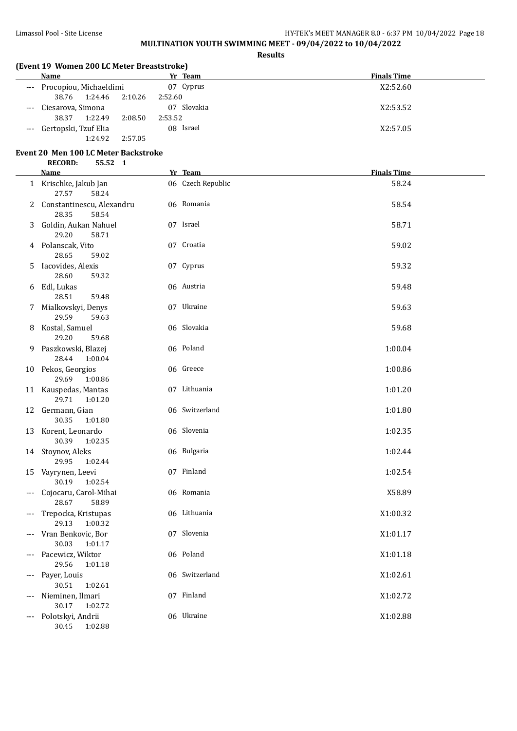# **MULTINATION YOUTH SWIMMING MEET - 09/04/2022 to 10/04/2022**

#### **Results**

| <b>Name</b>                |         | Yr Team     | <b>Finals Time</b> |  |  |  |  |
|----------------------------|---------|-------------|--------------------|--|--|--|--|
| --- Procopiou, Michaeldimi |         | 07 Cyprus   | X2:52.60           |  |  |  |  |
| 1:24.46 2:10.26<br>38.76   |         | 2:52.60     |                    |  |  |  |  |
| --- Ciesarova, Simona      |         | 07 Slovakia | X2:53.52           |  |  |  |  |
| 1:22.49<br>38.37           | 2:08.50 | 2:53.52     |                    |  |  |  |  |
| --- Gertopski, Tzuf Elia   |         | 08 Israel   | X2:57.05           |  |  |  |  |
| 1:24.92                    | 2:57.05 |             |                    |  |  |  |  |

# **Event 20 Men 100 LC Meter Backstroke**

|          | <b>RECORD:</b><br>55.52 1                     |                   |                    |
|----------|-----------------------------------------------|-------------------|--------------------|
|          | <b>Name</b>                                   | Yr Team           | <b>Finals Time</b> |
|          | 1 Krischke, Jakub Jan<br>27.57<br>58.24       | 06 Czech Republic | 58.24              |
|          | 2 Constantinescu, Alexandru<br>28.35<br>58.54 | 06 Romania        | 58.54              |
| 3        | Goldin, Aukan Nahuel<br>29.20<br>58.71        | 07 Israel         | 58.71              |
|          | 4 Polanscak, Vito<br>28.65<br>59.02           | 07 Croatia        | 59.02              |
| 5.       | Iacovides, Alexis<br>28.60<br>59.32           | 07 Cyprus         | 59.32              |
|          | 6 Edl, Lukas<br>28.51<br>59.48                | 06 Austria        | 59.48              |
|          | 7 Mialkovskyi, Denys<br>29.59<br>59.63        | 07 Ukraine        | 59.63              |
|          | 8 Kostal, Samuel<br>29.20<br>59.68            | 06 Slovakia       | 59.68              |
| 9.       | Paszkowski, Blazej<br>28.44<br>1:00.04        | 06 Poland         | 1:00.04            |
|          | 10 Pekos, Georgios<br>29.69<br>1:00.86        | 06 Greece         | 1:00.86            |
|          | 11 Kauspedas, Mantas<br>29.71<br>1:01.20      | 07 Lithuania      | 1:01.20            |
|          | 12 Germann, Gian<br>30.35<br>1:01.80          | 06 Switzerland    | 1:01.80            |
|          | 13 Korent, Leonardo<br>30.39<br>1:02.35       | 06 Slovenia       | 1:02.35            |
|          | 14 Stoynov, Aleks<br>29.95<br>1:02.44         | 06 Bulgaria       | 1:02.44            |
|          | 15 Vayrynen, Leevi<br>30.19<br>1:02.54        | 07 Finland        | 1:02.54            |
|          | Cojocaru, Carol-Mihai<br>28.67<br>58.89       | 06 Romania        | X58.89             |
|          | Trepocka, Kristupas<br>29.13<br>1:00.32       | 06 Lithuania      | X1:00.32           |
| ---      | Vran Benkovic, Bor<br>30.03<br>1:01.17        | 07 Slovenia       | X1:01.17           |
| ---      | Pacewicz, Wiktor<br>29.56<br>1:01.18          | 06 Poland         | X1:01.18           |
| $---$    | Payer, Louis<br>30.51<br>1:02.61              | 06 Switzerland    | X1:02.61           |
| ---      | Nieminen, Ilmari<br>30.17<br>1:02.72          | 07 Finland        | X1:02.72           |
| $\cdots$ | Polotskyi, Andrii<br>30.45<br>1:02.88         | 06 Ukraine        | X1:02.88           |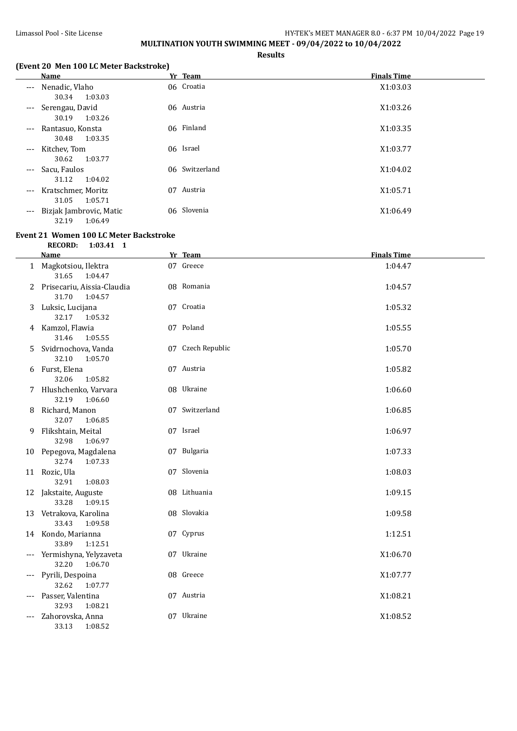## Limassol Pool - Site License **HY-TEK's MEET MANAGER 8.0 - 6:37 PM** 10/04/2022 Page 19 **MULTINATION YOUTH SWIMMING MEET - 09/04/2022 to 10/04/2022**

**Results**

## **(Event 20 Men 100 LC Meter Backstroke)**

## **Event 21 Women 100 LC Meter Backstroke**

**RECORD: 1:03.41 1**

|       | <b>Name</b>                                    | Yr Team           | <b>Finals Time</b> |
|-------|------------------------------------------------|-------------------|--------------------|
|       | 1 Magkotsiou, Ilektra<br>1:04.47<br>31.65      | 07 Greece         | 1:04.47            |
|       | Prisecariu, Aissia-Claudia<br>31.70<br>1:04.57 | 08 Romania        | 1:04.57            |
| 3     | Luksic, Lucijana<br>32.17<br>1:05.32           | 07 Croatia        | 1:05.32            |
| 4     | Kamzol, Flawia<br>31.46<br>1:05.55             | 07 Poland         | 1:05.55            |
| 5.    | Svidrnochova, Vanda<br>32.10<br>1:05.70        | 07 Czech Republic | 1:05.70            |
| 6     | Furst, Elena<br>32.06<br>1:05.82               | 07 Austria        | 1:05.82            |
|       | Hlushchenko, Varvara<br>32.19<br>1:06.60       | 08 Ukraine        | 1:06.60            |
| 8     | Richard, Manon<br>32.07<br>1:06.85             | 07 Switzerland    | 1:06.85            |
| 9     | Flikshtain, Meital<br>32.98<br>1:06.97         | 07 Israel         | 1:06.97            |
|       | 10 Pepegova, Magdalena<br>32.74<br>1:07.33     | 07 Bulgaria       | 1:07.33            |
|       | 11 Rozic, Ula<br>32.91<br>1:08.03              | 07 Slovenia       | 1:08.03            |
|       | 12 Jakstaite, Auguste<br>33.28<br>1:09.15      | 08 Lithuania      | 1:09.15            |
|       | 13 Vetrakova, Karolina<br>33.43<br>1:09.58     | 08 Slovakia       | 1:09.58            |
|       | 14 Kondo, Marianna<br>33.89<br>1:12.51         | 07 Cyprus         | 1:12.51            |
| $---$ | Yermishyna, Yelyzaveta<br>32.20<br>1:06.70     | 07 Ukraine        | X1:06.70           |
|       | Pyrili, Despoina<br>32.62<br>1:07.77           | 08 Greece         | X1:07.77           |
| ---   | Passer, Valentina<br>32.93<br>1:08.21          | 07 Austria        | X1:08.21           |
| ---   | Zahorovska, Anna<br>33.13<br>1:08.52           | 07 Ukraine        | X1:08.52           |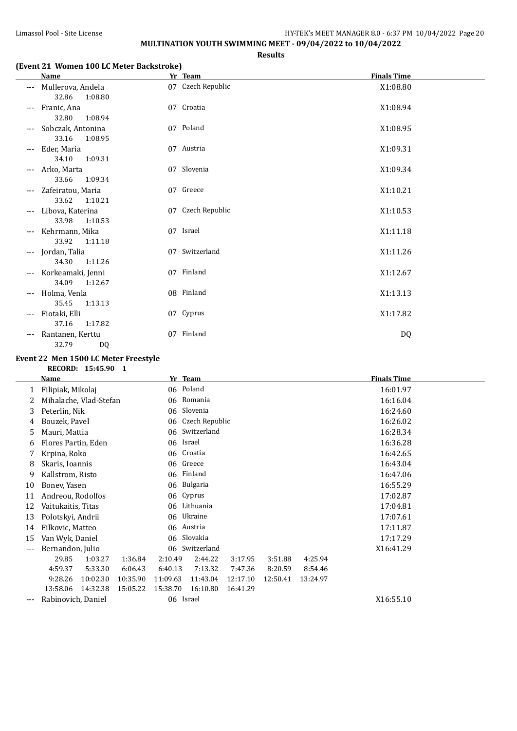## Limassol Pool - Site License **HY-TEK's MEET MANAGER 8.0 - 6:37 PM** 10/04/2022 Page 20 **MULTINATION YOUTH SWIMMING MEET - 09/04/2022 to 10/04/2022**

**Results**

#### **(Event 21 Women 100 LC Meter Backstroke)**

|                     | Name                                  | Yr Team           | <b>Finals Time</b> |  |
|---------------------|---------------------------------------|-------------------|--------------------|--|
| $\qquad \qquad - -$ | Mullerova, Andela<br>32.86<br>1:08.80 | 07 Czech Republic | X1:08.80           |  |
|                     | Franic, Ana<br>32.80<br>1:08.94       | 07 Croatia        | X1:08.94           |  |
|                     | Sobczak, Antonina<br>33.16<br>1:08.95 | 07 Poland         | X1:08.95           |  |
|                     | Eder, Maria<br>34.10<br>1:09.31       | 07 Austria        | X1:09.31           |  |
|                     | Arko, Marta<br>33.66<br>1:09.34       | 07 Slovenia       | X1:09.34           |  |
| $---$               | Zafeiratou, Maria<br>33.62<br>1:10.21 | 07 Greece         | X1:10.21           |  |
|                     | Libova, Katerina<br>33.98<br>1:10.53  | 07 Czech Republic | X1:10.53           |  |
|                     | Kehrmann, Mika<br>33.92<br>1:11.18    | 07 Israel         | X1:11.18           |  |
|                     | Jordan, Talia<br>34.30<br>1:11.26     | 07 Switzerland    | X1:11.26           |  |
| $---$               | Korkeamaki, Jenni<br>34.09<br>1:12.67 | 07 Finland        | X1:12.67           |  |
| $---$               | Holma, Venla<br>35.45<br>1:13.13      | 08 Finland        | X1:13.13           |  |
| $---$               | Fiotaki, Elli<br>37.16<br>1:17.82     | 07 Cyprus         | X1:17.82           |  |
|                     | Rantanen, Kerttu<br>32.79<br>DQ       | 07 Finland        | DQ                 |  |

#### **Event 22 Men 1500 LC Meter Freestyle**

**RECORD: 15:45.90 1**

|       | Name                     |          |          |          | Yr Team                     |          |          |          | <b>Finals Time</b> |  |
|-------|--------------------------|----------|----------|----------|-----------------------------|----------|----------|----------|--------------------|--|
| 1     | Filipiak, Mikolaj        |          |          |          | 06 Poland                   |          |          |          | 16:01.97           |  |
|       | Mihalache, Vlad-Stefan   |          |          | 06       | Romania                     |          |          |          | 16:16.04           |  |
| 3     | Peterlin, Nik            |          |          |          | 06 Slovenia                 |          |          |          | 16:24.60           |  |
| 4     | Bouzek, Pavel            |          |          | 06       | Czech Republic              |          |          |          | 16:26.02           |  |
| 5     | Mauri, Mattia            |          |          | 06       | Switzerland                 |          |          |          | 16:28.34           |  |
| 6     | Flores Partin, Eden      |          |          |          | 06 Israel                   |          |          |          | 16:36.28           |  |
|       | Krpina, Roko             |          |          |          | 06 Croatia                  |          |          |          | 16:42.65           |  |
| 8     | Skaris, Ioannis          |          |          | 06       | Greece                      |          |          |          | 16:43.04           |  |
| 9     | Kallstrom, Risto         |          |          | 06       | Finland                     |          |          | 16:47.06 |                    |  |
| 10    | Bonev, Yasen             |          |          |          | 06 Bulgaria                 |          |          | 16:55.29 |                    |  |
| 11    | Andreou, Rodolfos        |          |          |          | 06 Cyprus                   |          |          | 17:02.87 |                    |  |
| 12    | Vaitukaitis, Titas<br>06 |          |          |          | Lithuania                   |          |          | 17:04.81 |                    |  |
| 13    | Polotskyi, Andrii        |          |          |          | 06 Ukraine                  |          |          | 17:07.61 |                    |  |
| 14    | Filkovic, Matteo         |          |          |          | 06 Austria                  |          |          | 17:11.87 |                    |  |
| 15    | Van Wyk, Daniel          |          |          |          | 06 Slovakia                 |          |          | 17:17.29 |                    |  |
| $---$ | Bernandon, Julio         |          |          |          | 06 Switzerland<br>X16:41.29 |          |          |          |                    |  |
|       | 29.85                    | 1:03.27  | 1:36.84  | 2:10.49  | 2:44.22                     | 3:17.95  | 3:51.88  | 4:25.94  |                    |  |
|       | 4:59.37                  | 5:33.30  | 6:06.43  | 6:40.13  | 7:13.32                     | 7:47.36  | 8:20.59  | 8:54.46  |                    |  |
|       | 9:28.26                  | 10:02.30 | 10:35.90 | 11:09.63 | 11:43.04                    | 12:17.10 | 12:50.41 | 13:24.97 |                    |  |
|       | 13:58.06                 | 14:32.38 | 15:05.22 | 15:38.70 | 16:10.80                    | 16:41.29 |          |          |                    |  |
| $---$ | Rabinovich, Daniel       |          |          |          | 06 Israel                   |          |          |          | X16:55.10          |  |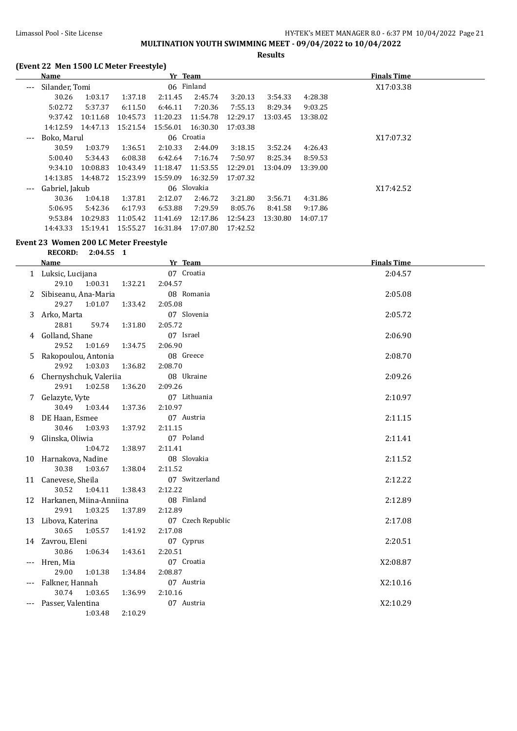#### Limassol Pool - Site License **HY-TEK's MEET MANAGER 8.0 - 6:37 PM 10/04/2022** Page 21 **MULTINATION YOUTH SWIMMING MEET - 09/04/2022 to 10/04/2022**

**Results**

#### **(Event 22 Men 1500 LC Meter Freestyle)**

|                     | Name           |          |          | Yr Team  |             |          |          |          | <b>Finals Time</b> |
|---------------------|----------------|----------|----------|----------|-------------|----------|----------|----------|--------------------|
| $\qquad \qquad - -$ | Silander, Tomi |          |          |          | 06 Finland  |          |          |          | X17:03.38          |
|                     | 30.26          | 1:03.17  | 1:37.18  | 2:11.45  | 2:45.74     | 3:20.13  | 3:54.33  | 4:28.38  |                    |
|                     | 5:02.72        | 5:37.37  | 6:11.50  | 6:46.11  | 7:20.36     | 7:55.13  | 8:29.34  | 9:03.25  |                    |
|                     | 9:37.42        | 10:11.68 | 10:45.73 | 11:20.23 | 11:54.78    | 12:29.17 | 13:03.45 | 13:38.02 |                    |
|                     | 14:12.59       | 14:47.13 | 15:21.54 | 15:56.01 | 16:30.30    | 17:03.38 |          |          |                    |
| $\qquad \qquad - -$ | Boko, Marul    |          |          |          | 06 Croatia  |          |          |          | X17:07.32          |
|                     | 30.59          | 1:03.79  | 1:36.51  | 2:10.33  | 2:44.09     | 3:18.15  | 3:52.24  | 4:26.43  |                    |
|                     | 5:00.40        | 5:34.43  | 6:08.38  | 6:42.64  | 7:16.74     | 7:50.97  | 8:25.34  | 8:59.53  |                    |
|                     | 9:34.10        | 10:08.83 | 10:43.49 | 11:18.47 | 11:53.55    | 12:29.01 | 13:04.09 | 13:39.00 |                    |
|                     | 14:13.85       | 14:48.72 | 15:23.99 | 15:59.09 | 16:32.59    | 17:07.32 |          |          |                    |
| $\qquad \qquad - -$ | Gabriel, Jakub |          |          |          | 06 Slovakia |          |          |          | X17:42.52          |
|                     | 30.36          | 1:04.18  | 1:37.81  | 2:12.07  | 2:46.72     | 3:21.80  | 3:56.71  | 4:31.86  |                    |
|                     | 5:06.95        | 5:42.36  | 6:17.93  | 6:53.88  | 7:29.59     | 8:05.76  | 8:41.58  | 9:17.86  |                    |
|                     | 9:53.84        | 10:29.83 | 11:05.42 | 11:41.69 | 12:17.86    | 12:54.23 | 13:30.80 | 14:07.17 |                    |
|                     | 14:43.33       | 15:19.41 | 15:55.27 | 16:31.84 | 17:07.80    | 17:42.52 |          |          |                    |

#### **Event 23 Women 200 LC Meter Freestyle**

|     | <b>Name</b>                |                    | Yr Team           | <b>Finals Time</b> |
|-----|----------------------------|--------------------|-------------------|--------------------|
|     | 1 Luksic, Lucijana         |                    | 07 Croatia        | 2:04.57            |
|     | 29.10<br>1:00.31           | 2:04.57<br>1:32.21 |                   |                    |
| 2   | Sibiseanu, Ana-Maria       |                    | 08 Romania        | 2:05.08            |
|     | 29.27<br>1:01.07           | 1:33.42<br>2:05.08 |                   |                    |
| 3   | Arko, Marta                |                    | 07 Slovenia       | 2:05.72            |
|     | 28.81<br>59.74             | 2:05.72<br>1:31.80 |                   |                    |
| 4   | Golland, Shane             |                    | 07 Israel         | 2:06.90            |
|     | 29.52<br>1:01.69           | 1:34.75<br>2:06.90 |                   |                    |
| 5   | Rakopoulou, Antonia        |                    | 08 Greece         | 2:08.70            |
|     | 29.92<br>1:03.03           | 2:08.70<br>1:36.82 |                   |                    |
| 6   | Chernyshchuk, Valeriia     |                    | 08 Ukraine        | 2:09.26            |
|     | 29.91<br>1:02.58           | 1:36.20<br>2:09.26 |                   |                    |
| 7   | Gelazyte, Vyte             |                    | 07 Lithuania      | 2:10.97            |
|     | 30.49<br>1:03.44           | 1:37.36<br>2:10.97 |                   |                    |
| 8   | DE Haan, Esmee             |                    | 07 Austria        | 2:11.15            |
|     | 30.46<br>1:03.93           | 2:11.15<br>1:37.92 |                   |                    |
| 9   | Glinska, Oliwia            |                    | 07 Poland         | 2:11.41            |
|     | 1:04.72                    | 1:38.97<br>2:11.41 |                   |                    |
|     | 10 Harnakova, Nadine       |                    | 08 Slovakia       | 2:11.52            |
|     | 30.38<br>1:03.67           | 1:38.04<br>2:11.52 |                   |                    |
|     | 11 Canevese, Sheila        |                    | 07 Switzerland    | 2:12.22            |
|     | 30.52<br>1:04.11           | 1:38.43<br>2:12.22 |                   |                    |
|     | 12 Harkanen, Miina-Anniina |                    | 08 Finland        | 2:12.89            |
|     | 29.91<br>1:03.25           | 1:37.89<br>2:12.89 |                   |                    |
|     | 13 Libova, Katerina        |                    | 07 Czech Republic | 2:17.08            |
|     | 30.65<br>1:05.57           | 2:17.08<br>1:41.92 |                   |                    |
|     | 14 Zavrou, Eleni           |                    | 07 Cyprus         | 2:20.51            |
|     | 30.86<br>1:06.34           | 1:43.61<br>2:20.51 |                   |                    |
| --- | Hren, Mia                  |                    | 07 Croatia        | X2:08.87           |
|     | 29.00<br>1:01.38           | 2:08.87<br>1:34.84 |                   |                    |
|     | Falkner, Hannah            |                    | 07 Austria        | X2:10.16           |
|     | 30.74<br>1:03.65           | 2:10.16<br>1:36.99 |                   |                    |
|     | Passer, Valentina          |                    | 07 Austria        | X2:10.29           |
|     | 1:03.48                    | 2:10.29            |                   |                    |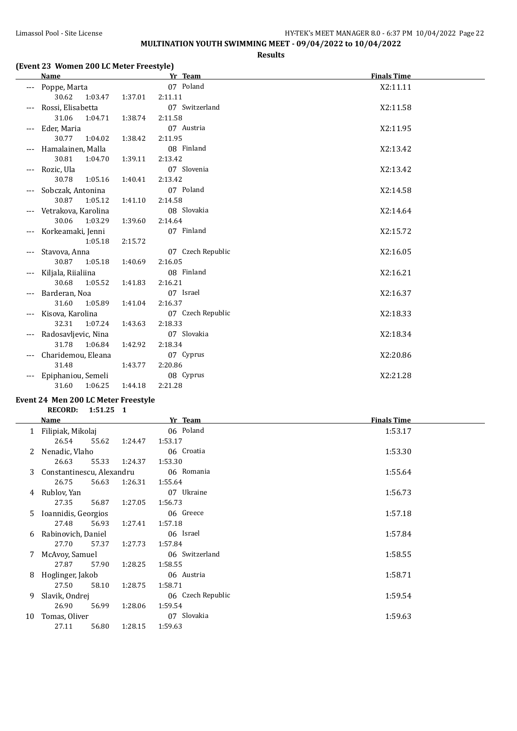## Limassol Pool - Site License **HY-TEK's MEET MANAGER 8.0 - 6:37 PM 10/04/2022** Page 22 **MULTINATION YOUTH SWIMMING MEET - 09/04/2022 to 10/04/2022**

**Results**

#### **(Event 23 Women 200 LC Meter Freestyle)**

| <b>Name</b>         |         | Yr Team           | <b>Finals Time</b> |
|---------------------|---------|-------------------|--------------------|
| Poppe, Marta        |         | 07 Poland         | X2:11.11           |
| 30.62<br>1:03.47    | 1:37.01 | 2:11.11           |                    |
| Rossi, Elisabetta   |         | 07 Switzerland    | X2:11.58           |
| 31.06<br>1:04.71    | 1:38.74 | 2:11.58           |                    |
| Eder, Maria         |         | 07 Austria        | X2:11.95           |
| 30.77<br>1:04.02    | 1:38.42 | 2:11.95           |                    |
| Hamalainen, Malla   |         | 08 Finland        | X2:13.42           |
| 30.81<br>1:04.70    | 1:39.11 | 2:13.42           |                    |
| Rozic, Ula          |         | 07 Slovenia       | X2:13.42           |
| 30.78<br>1:05.16    | 1:40.41 | 2:13.42           |                    |
| Sobczak, Antonina   |         | 07 Poland         | X2:14.58           |
| 1:05.12<br>30.87    | 1:41.10 | 2:14.58           |                    |
| Vetrakova, Karolina |         | 08 Slovakia       | X2:14.64           |
| 30.06<br>1:03.29    | 1:39.60 | 2:14.64           |                    |
| Korkeamaki, Jenni   |         | 07 Finland        | X2:15.72           |
| 1:05.18             | 2:15.72 |                   |                    |
| Stavova, Anna       |         | 07 Czech Republic | X2:16.05           |
| 30.87<br>1:05.18    | 1:40.69 | 2:16.05           |                    |
| Kiljala, Riialiina  |         | 08 Finland        | X2:16.21           |
| 30.68<br>1:05.52    | 1:41.83 | 2:16.21           |                    |
| Barderan, Noa       |         | 07 Israel         | X2:16.37           |
| 31.60<br>1:05.89    | 1:41.04 | 2:16.37           |                    |
| Kisova, Karolina    |         | 07 Czech Republic | X2:18.33           |
| 32.31<br>1:07.24    | 1:43.63 | 2:18.33           |                    |
| Radosavljevic, Nina |         | 07 Slovakia       | X2:18.34           |
| 31.78<br>1:06.84    | 1:42.92 | 2:18.34           |                    |
| Charidemou, Eleana  |         | 07 Cyprus         | X2:20.86           |
| 31.48               | 1:43.77 | 2:20.86           |                    |
| Epiphaniou, Semeli  |         | 08 Cyprus         | X2:21.28           |
| 31.60<br>1:06.25    | 1:44.18 | 2:21.28           |                    |
|                     |         |                   |                    |

#### **Event 24 Men 200 LC Meter Freestyle RECORD: 1:51.25 1**

|    | <b>Name</b>               |       |         | Yr Team           | <b>Finals Time</b> |
|----|---------------------------|-------|---------|-------------------|--------------------|
|    | 1 Filipiak, Mikolaj       |       |         | 06 Poland         | 1:53.17            |
|    | 26.54                     | 55.62 | 1:24.47 | 1:53.17           |                    |
| 2  | Nenadic, Vlaho            |       |         | 06 Croatia        | 1:53.30            |
|    | 26.63                     | 55.33 | 1:24.37 | 1:53.30           |                    |
| 3  | Constantinescu, Alexandru |       |         | 06 Romania        | 1:55.64            |
|    | 26.75                     | 56.63 | 1:26.31 | 1:55.64           |                    |
| 4  | Rublov, Yan               |       |         | 07 Ukraine        | 1:56.73            |
|    | 27.35                     | 56.87 | 1:27.05 | 1:56.73           |                    |
| 5. | Ioannidis, Georgios       |       |         | 06 Greece         | 1:57.18            |
|    | 27.48                     | 56.93 | 1:27.41 | 1:57.18           |                    |
| 6  | Rabinovich, Daniel        |       |         | 06 Israel         | 1:57.84            |
|    | 27.70                     | 57.37 | 1:27.73 | 1:57.84           |                    |
| 7  | McAvoy, Samuel            |       |         | 06 Switzerland    | 1:58.55            |
|    | 27.87                     | 57.90 | 1:28.25 | 1:58.55           |                    |
| 8  | Hoglinger, Jakob          |       |         | 06 Austria        | 1:58.71            |
|    | 27.50                     | 58.10 | 1:28.75 | 1:58.71           |                    |
| 9  | Slavik, Ondrej            |       |         | 06 Czech Republic | 1:59.54            |
|    | 26.90                     | 56.99 | 1:28.06 | 1:59.54           |                    |
| 10 | Tomas, Oliver             |       |         | 07 Slovakia       | 1:59.63            |
|    | 27.11                     | 56.80 | 1:28.15 | 1:59.63           |                    |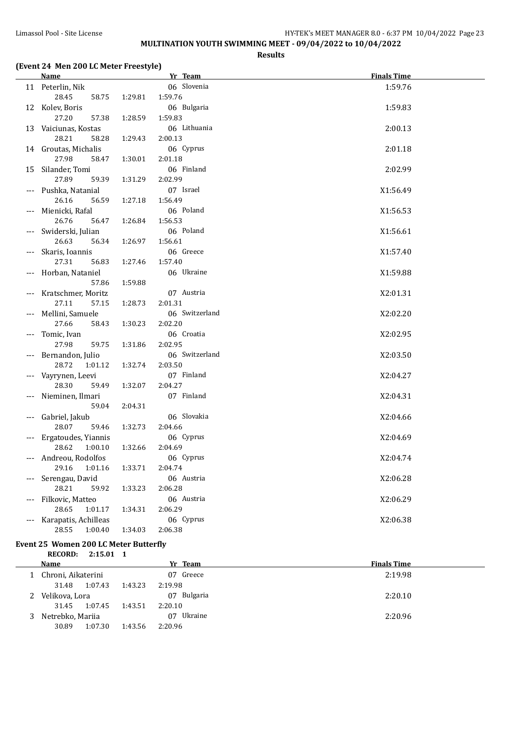#### Limassol Pool - Site License **HY-TEK's MEET MANAGER 8.0 - 6:37 PM 10/04/2022** Page 23 **MULTINATION YOUTH SWIMMING MEET - 09/04/2022 to 10/04/2022**

**Results**

#### **(Event 24 Men 200 LC Meter Freestyle)**

|       | <b>Name</b>           |         | Yr Team        | <b>Finals Time</b> |
|-------|-----------------------|---------|----------------|--------------------|
|       | 11 Peterlin, Nik      |         | 06 Slovenia    | 1:59.76            |
|       | 28.45<br>58.75        | 1:29.81 | 1:59.76        |                    |
|       | 12 Kolev, Boris       |         | 06 Bulgaria    | 1:59.83            |
|       | 27.20<br>57.38        | 1:28.59 | 1:59.83        |                    |
|       | 13 Vaiciunas, Kostas  |         | 06 Lithuania   | 2:00.13            |
|       | 28.21<br>58.28        | 1:29.43 | 2:00.13        |                    |
|       | 14 Groutas, Michalis  |         | 06 Cyprus      | 2:01.18            |
|       | 27.98<br>58.47        | 1:30.01 | 2:01.18        |                    |
|       | 15 Silander, Tomi     |         | 06 Finland     | 2:02.99            |
|       | 27.89<br>59.39        | 1:31.29 | 2:02.99        |                    |
|       | --- Pushka, Natanial  |         | 07 Israel      | X1:56.49           |
|       | 26.16<br>56.59        | 1:27.18 | 1:56.49        |                    |
| ---   | Mienicki, Rafal       |         | 06 Poland      | X1:56.53           |
|       | 26.76<br>56.47        | 1:26.84 | 1:56.53        |                    |
|       | Swiderski, Julian     |         | 06 Poland      | X1:56.61           |
|       | 26.63<br>56.34        | 1:26.97 | 1:56.61        |                    |
|       | Skaris, Ioannis       |         | 06 Greece      | X1:57.40           |
|       | 27.31<br>56.83        | 1:27.46 | 1:57.40        |                    |
|       | Horban, Nataniel      |         | 06 Ukraine     | X1:59.88           |
|       | 57.86                 | 1:59.88 |                |                    |
| $---$ | Kratschmer, Moritz    |         | 07 Austria     | X2:01.31           |
|       | 27.11<br>57.15        | 1:28.73 | 2:01.31        |                    |
|       | Mellini, Samuele      |         | 06 Switzerland | X2:02.20           |
|       | 27.66<br>58.43        | 1:30.23 | 2:02.20        |                    |
|       | Tomic, Ivan           |         | 06 Croatia     | X2:02.95           |
|       | 27.98<br>59.75        | 1:31.86 | 2:02.95        |                    |
| ---   | Bernandon, Julio      |         | 06 Switzerland | X2:03.50           |
|       | 28.72<br>1:01.12      | 1:32.74 | 2:03.50        |                    |
|       | Vayrynen, Leevi       |         | 07 Finland     | X2:04.27           |
|       | 28.30<br>59.49        | 1:32.07 | 2:04.27        |                    |
| $---$ | Nieminen, Ilmari      |         | 07 Finland     | X2:04.31           |
|       | 59.04                 | 2:04.31 |                |                    |
| $---$ | Gabriel, Jakub        |         | 06 Slovakia    | X2:04.66           |
|       | 28.07<br>59.46        | 1:32.73 | 2:04.66        |                    |
| ---   | Ergatoudes, Yiannis   |         | 06 Cyprus      | X2:04.69           |
|       | 28.62<br>1:00.10      | 1:32.66 | 2:04.69        |                    |
|       | --- Andreou, Rodolfos |         | 06 Cyprus      | X2:04.74           |
|       | 29.16<br>1:01.16      | 1:33.71 | 2:04.74        |                    |
|       | Serengau, David       |         | 06 Austria     | X2:06.28           |
|       | 28.21<br>59.92        | 1:33.23 | 2:06.28        |                    |
| ---   | Filkovic, Matteo      |         | 06 Austria     | X2:06.29           |
|       | 28.65<br>1:01.17      | 1:34.31 | 2:06.29        |                    |
| $---$ | Karapatis, Achilleas  |         | 06 Cyprus      | X2:06.38           |
|       | 28.55<br>1:00.40      | 1:34.03 | 2:06.38        |                    |

#### **Event 25 Women 200 LC Meter Butterfly**

**RECORD: 2:15.01 1**

|    | Name               | Yr Team            | <b>Finals Time</b> |
|----|--------------------|--------------------|--------------------|
|    | Chroni, Aikaterini | 07 Greece          | 2:19.98            |
|    | 1:07.43<br>31.48   | 2:19.98<br>1:43.23 |                    |
|    | Velikova, Lora     | 07 Bulgaria        | 2:20.10            |
|    | 1:07.45<br>31.45   | 2:20.10<br>1:43.51 |                    |
| 3. | Netrebko, Mariia   | Ukraine<br>07      | 2:20.96            |
|    | 1:07.30<br>30.89   | 2:20.96<br>1:43.56 |                    |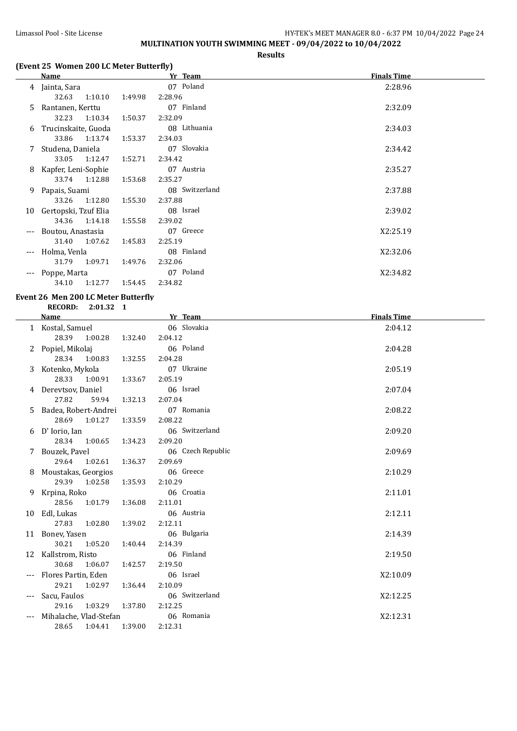## Limassol Pool - Site License **HY-TEK's MEET MANAGER 8.0 - 6:37 PM** 10/04/2022 Page 24 **MULTINATION YOUTH SWIMMING MEET - 09/04/2022 to 10/04/2022**

#### **Results**

# **(Event 25 Women 200 LC Meter Butterfly)**

|     | <b>Name</b>          |         | Yr Team        | <b>Finals Time</b> |
|-----|----------------------|---------|----------------|--------------------|
|     | 4 Jainta, Sara       |         | 07 Poland      | 2:28.96            |
|     | 32.63<br>1:10.10     | 1:49.98 | 2:28.96        |                    |
| 5.  | Rantanen, Kerttu     |         | 07 Finland     | 2:32.09            |
|     | 32.23<br>1:10.34     | 1:50.37 | 2:32.09        |                    |
| 6   | Trucinskaite, Guoda  |         | 08 Lithuania   | 2:34.03            |
|     | 33.86 1:13.74        | 1:53.37 | 2:34.03        |                    |
|     | Studena, Daniela     |         | 07 Slovakia    | 2:34.42            |
|     | 33.05<br>1:12.47     | 1:52.71 | 2:34.42        |                    |
| 8   | Kapfer, Leni-Sophie  |         | 07 Austria     | 2:35.27            |
|     | 33.74 1:12.88        | 1:53.68 | 2:35.27        |                    |
| 9   | Papais, Suami        |         | 08 Switzerland | 2:37.88            |
|     | 1:12.80<br>33.26     | 1:55.30 | 2:37.88        |                    |
| 10  | Gertopski, Tzuf Elia |         | 08 Israel      | 2:39.02            |
|     | 34.36<br>1:14.18     | 1:55.58 | 2:39.02        |                    |
| --- | Boutou, Anastasia    |         | 07 Greece      | X2:25.19           |
|     | 31.40<br>1:07.62     | 1:45.83 | 2:25.19        |                    |
| --- | Holma, Venla         |         | 08 Finland     | X2:32.06           |
|     | 1:09.71<br>31.79     | 1:49.76 | 2:32.06        |                    |
| --- | Poppe, Marta         |         | 07 Poland      | X2:34.82           |
|     | 1:12.77<br>34.10     | 1:54.45 | 2:34.82        |                    |

#### **Event 26 Men 200 LC Meter Butterfly RECORD: 2:01.32 1**

|       | <b>Name</b>            |         | Yr Team           | <b>Finals Time</b> |
|-------|------------------------|---------|-------------------|--------------------|
|       | 1 Kostal, Samuel       |         | 06 Slovakia       | 2:04.12            |
|       | 28.39 1:00.28          | 1:32.40 | 2:04.12           |                    |
| 2     | Popiel, Mikolaj        |         | 06 Poland         | 2:04.28            |
|       | 28.34 1:00.83          | 1:32.55 | 2:04.28           |                    |
| 3     | Kotenko, Mykola        |         | 07 Ukraine        | 2:05.19            |
|       | 28.33<br>1:00.91       | 1:33.67 | 2:05.19           |                    |
| 4     | Derevtsov, Daniel      |         | 06 Israel         | 2:07.04            |
|       | 27.82<br>59.94         | 1:32.13 | 2:07.04           |                    |
| 5     | Badea, Robert-Andrei   |         | 07 Romania        | 2:08.22            |
|       | 28.69<br>1:01.27       | 1:33.59 | 2:08.22           |                    |
| 6     | D' Iorio, Ian          |         | 06 Switzerland    | 2:09.20            |
|       | 28.34<br>1:00.65       | 1:34.23 | 2:09.20           |                    |
| 7     | Bouzek, Pavel          |         | 06 Czech Republic | 2:09.69            |
|       | 29.64 1:02.61          | 1:36.37 | 2:09.69           |                    |
|       | Moustakas, Georgios    |         | 06 Greece         | 2:10.29            |
|       | 29.39<br>1:02.58       | 1:35.93 | 2:10.29           |                    |
| 9     | Krpina, Roko           |         | 06 Croatia        | 2:11.01            |
|       | 28.56<br>1:01.79       | 1:36.08 | 2:11.01           |                    |
| 10    | Edl, Lukas             |         | 06 Austria        | 2:12.11            |
|       | 27.83<br>1:02.80       | 1:39.02 | 2:12.11           |                    |
| 11    | Bonev, Yasen           |         | 06 Bulgaria       | 2:14.39            |
|       | 30.21<br>1:05.20       | 1:40.44 | 2:14.39           |                    |
| 12    | Kallstrom, Risto       |         | 06 Finland        | 2:19.50            |
|       | 30.68 1:06.07          | 1:42.57 | 2:19.50           |                    |
| $---$ | Flores Partin, Eden    |         | 06 Israel         | X2:10.09           |
|       | 29.21<br>1:02.97       | 1:36.44 | 2:10.09           |                    |
|       | Sacu, Faulos           |         | 06 Switzerland    | X2:12.25           |
|       | 29.16<br>1:03.29       | 1:37.80 | 2:12.25           |                    |
|       | Mihalache, Vlad-Stefan |         | 06 Romania        | X2:12.31           |
|       | 28.65<br>1:04.41       | 1:39.00 | 2:12.31           |                    |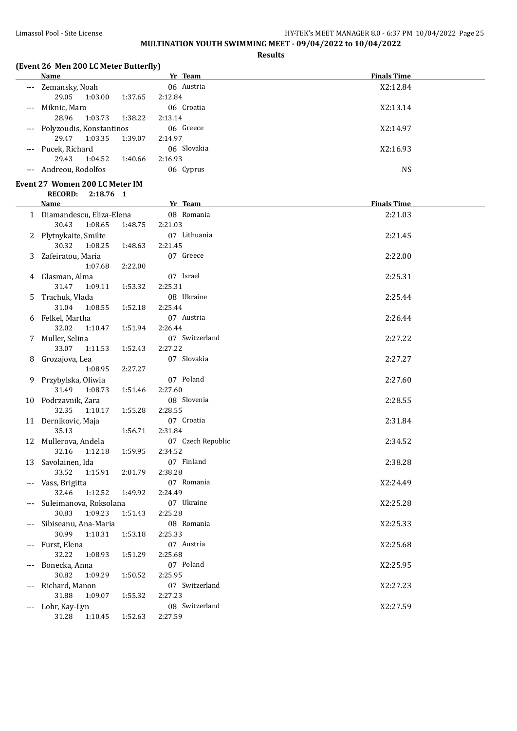# Limassol Pool - Site License **HY-TEK's MEET MANAGER 8.0 - 6:37 PM** 10/04/2022 Page 25 **MULTINATION YOUTH SWIMMING MEET - 09/04/2022 to 10/04/2022**

**Results**

## **(Event 26 Men 200 LC Meter Butterfly)**

|    | <b>Name</b>                    | Yr Team                   | <b>Finals Time</b> |  |
|----|--------------------------------|---------------------------|--------------------|--|
|    | --- Zemansky, Noah             | 06 Austria                | X2:12.84           |  |
|    | 29.05<br>1:03.00<br>1:37.65    | 2:12.84                   |                    |  |
|    | Miknic, Maro                   | 06 Croatia                | X2:13.14           |  |
|    | 28.96<br>1:03.73<br>1:38.22    | 2:13.14                   |                    |  |
|    |                                | 06 Greece                 |                    |  |
|    | Polyzoudis, Konstantinos       |                           | X2:14.97           |  |
|    | 29.47<br>1:03.35<br>1:39.07    | 2:14.97                   |                    |  |
|    | --- Pucek, Richard             | 06 Slovakia               | X2:16.93           |  |
|    | 29.43<br>1:04.52<br>1:40.66    | 2:16.93                   |                    |  |
|    | --- Andreou, Rodolfos          | 06 Cyprus                 | <b>NS</b>          |  |
|    | Event 27 Women 200 LC Meter IM |                           |                    |  |
|    | <b>RECORD:</b><br>2:18.76 1    |                           |                    |  |
|    | <u>Name</u>                    | <b>Example 18 Yr Team</b> | <b>Finals Time</b> |  |
|    | 1 Diamandescu, Eliza-Elena     | 08 Romania                | 2:21.03            |  |
|    | 30.43<br>1:08.65<br>1:48.75    | 2:21.03                   |                    |  |
|    |                                |                           |                    |  |
|    | 2 Plytnykaite, Smilte          | 07 Lithuania              | 2:21.45            |  |
|    | 30.32<br>1:08.25<br>1:48.63    | 2:21.45                   |                    |  |
| 3  | Zafeiratou, Maria              | 07 Greece                 | 2:22.00            |  |
|    | 1:07.68<br>2:22.00             |                           |                    |  |
| 4  | Glasman, Alma                  | 07 Israel                 | 2:25.31            |  |
|    | 31.47<br>1:09.11<br>1:53.32    | 2:25.31                   |                    |  |
| 5. | Trachuk, Vlada                 | 08 Ukraine                | 2:25.44            |  |
|    | 31.04<br>1:08.55<br>1:52.18    | 2:25.44                   |                    |  |
| 6  | Felkel, Martha                 | 07 Austria                | 2:26.44            |  |
|    | 32.02<br>1:10.47<br>1:51.94    | 2:26.44                   |                    |  |
|    | 7 Muller, Selina               | 07 Switzerland            | 2:27.22            |  |
|    | 33.07<br>1:11.53<br>1:52.43    | 2:27.22                   |                    |  |
|    |                                | 07 Slovakia               |                    |  |
| 8  | Grozajova, Lea                 |                           | 2:27.27            |  |
|    | 1:08.95<br>2:27.27             |                           |                    |  |
|    | 9 Przybylska, Oliwia           | 07 Poland                 | 2:27.60            |  |
|    | 31.49<br>1:08.73<br>1:51.46    | 2:27.60                   |                    |  |
|    | 10 Podrzavnik, Zara            | 08 Slovenia               | 2:28.55            |  |
|    | 32.35<br>1:10.17<br>1:55.28    | 2:28.55                   |                    |  |
|    | 11 Dernikovic, Maja            | 07 Croatia                | 2:31.84            |  |
|    | 35.13<br>1:56.71               | 2:31.84                   |                    |  |
|    | 12 Mullerova, Andela           | 07 Czech Republic         | 2:34.52            |  |
|    | 32.16<br>1:59.95<br>1:12.18    | 2:34.52                   |                    |  |
|    | 13 Savolainen, Ida             | 07 Finland                | 2:38.28            |  |
|    | 33.52<br>1:15.91<br>2:01.79    | 2:38.28                   |                    |  |
|    | --- Vass, Brigitta             | 07 Romania                | X2:24.49           |  |
|    | 32.46<br>1:12.52<br>1:49.92    | 2:24.49                   |                    |  |
|    |                                | 07 Ukraine                |                    |  |
|    | Suleimanova, Roksolana         |                           | X2:25.28           |  |
|    | 30.83<br>1:09.23<br>1:51.43    | 2:25.28                   |                    |  |
|    | Sibiseanu, Ana-Maria           | 08 Romania                | X2:25.33           |  |
|    | 30.99<br>1:10.31<br>1:53.18    | 2:25.33                   |                    |  |
|    | Furst, Elena                   | 07 Austria                | X2:25.68           |  |
|    | 32.22<br>1:08.93<br>1:51.29    | 2:25.68                   |                    |  |
|    | Bonecka, Anna                  | 07 Poland                 | X2:25.95           |  |
|    | 30.82<br>1:09.29<br>1:50.52    | 2:25.95                   |                    |  |
|    | Richard, Manon                 | 07 Switzerland            | X2:27.23           |  |
|    | 31.88<br>1:55.32<br>1:09.07    | 2:27.23                   |                    |  |
|    | Lohr, Kay-Lyn                  | 08 Switzerland            | X2:27.59           |  |
|    | 31.28<br>1:52.63<br>1:10.45    | 2:27.59                   |                    |  |
|    |                                |                           |                    |  |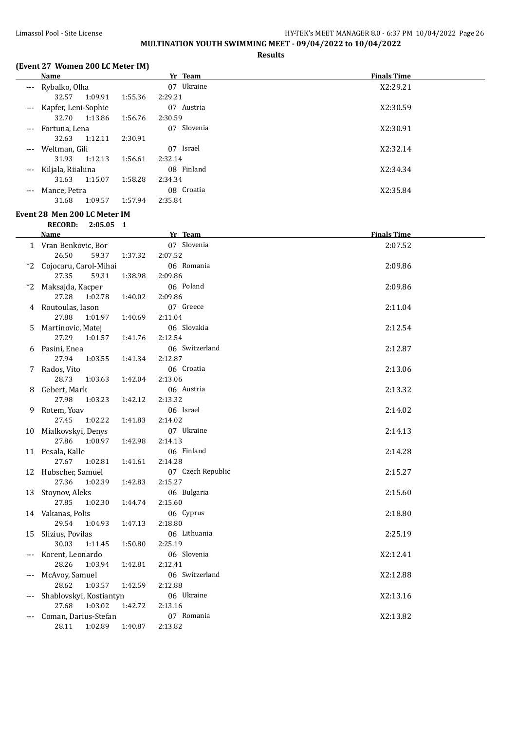## Limassol Pool - Site License **HY-TEK's MEET MANAGER 8.0 - 6:37 PM 10/04/2022** Page 26 **MULTINATION YOUTH SWIMMING MEET - 09/04/2022 to 10/04/2022**

**Results**

## **(Event 27 Women 200 LC Meter IM)**

|                     | 1.41                                          |             |         |                                                                  |                    |
|---------------------|-----------------------------------------------|-------------|---------|------------------------------------------------------------------|--------------------|
|                     | <b>Name</b>                                   |             |         | Yr Team                                                          | <b>Finals Time</b> |
| $---$               | Rybalko, Olha                                 |             |         | 07 Ukraine                                                       | X2:29.21           |
|                     | 32.57                                         | 1:09.91     | 1:55.36 | 2:29.21                                                          |                    |
| $---$               | Kapfer, Leni-Sophie                           |             |         | 07 Austria                                                       | X2:30.59           |
|                     | 32.70                                         | 1:13.86     | 1:56.76 | 2:30.59                                                          |                    |
| $---$               | Fortuna, Lena                                 |             |         | 07 Slovenia                                                      | X2:30.91           |
|                     | 32.63                                         | 1:12.11     | 2:30.91 |                                                                  |                    |
| $---$               | Weltman, Gili                                 |             |         | Israel<br>07                                                     | X2:32.14           |
|                     | 31.93                                         | 1:12.13     | 1:56.61 | 2:32.14                                                          |                    |
| $\qquad \qquad - -$ | Kiljala, Riialiina                            |             |         | 08 Finland                                                       | X2:34.34           |
|                     | 31.63                                         | 1:15.07     | 1:58.28 | 2:34.34                                                          |                    |
| $\cdots$            | Mance, Petra                                  |             |         | 08 Croatia                                                       | X2:35.84           |
|                     | 31.68                                         | 1:09.57     | 1:57.94 | 2:35.84                                                          |                    |
|                     | Event 28  Men 200 LC Meter IM                 |             |         |                                                                  |                    |
|                     | <b>RECORD:</b>                                | $2:05.05$ 1 |         |                                                                  |                    |
|                     | <b>Name</b>                                   |             |         | Yr Team                                                          | <b>Finals Time</b> |
|                     | $\overline{a}$ is the state of $\overline{b}$ |             |         | $\mathbf{A}$ $\mathbf{B}$ $\mathbf{C}$ $\mathbf{I}$ $\mathbf{A}$ | 0.0750             |

| <b>Name</b>                 | Yr Team                                                                                                                                                                                                                                                                                                                                                                                                                                                                                                                                                                                                                                                                                                | <b>Finals Time</b>                                                                                                                                                                                                                                                                                                                                        |
|-----------------------------|--------------------------------------------------------------------------------------------------------------------------------------------------------------------------------------------------------------------------------------------------------------------------------------------------------------------------------------------------------------------------------------------------------------------------------------------------------------------------------------------------------------------------------------------------------------------------------------------------------------------------------------------------------------------------------------------------------|-----------------------------------------------------------------------------------------------------------------------------------------------------------------------------------------------------------------------------------------------------------------------------------------------------------------------------------------------------------|
| 1 Vran Benkovic, Bor        | 07 Slovenia                                                                                                                                                                                                                                                                                                                                                                                                                                                                                                                                                                                                                                                                                            | 2:07.52                                                                                                                                                                                                                                                                                                                                                   |
| 26.50<br>59.37<br>1:37.32   | 2:07.52                                                                                                                                                                                                                                                                                                                                                                                                                                                                                                                                                                                                                                                                                                |                                                                                                                                                                                                                                                                                                                                                           |
| Cojocaru, Carol-Mihai       | 06 Romania                                                                                                                                                                                                                                                                                                                                                                                                                                                                                                                                                                                                                                                                                             | 2:09.86                                                                                                                                                                                                                                                                                                                                                   |
| 27.35<br>59.31<br>1:38.98   | 2:09.86                                                                                                                                                                                                                                                                                                                                                                                                                                                                                                                                                                                                                                                                                                |                                                                                                                                                                                                                                                                                                                                                           |
| Maksajda, Kacper            | 06 Poland                                                                                                                                                                                                                                                                                                                                                                                                                                                                                                                                                                                                                                                                                              | 2:09.86                                                                                                                                                                                                                                                                                                                                                   |
| 27.28<br>1:02.78<br>1:40.02 | 2:09.86                                                                                                                                                                                                                                                                                                                                                                                                                                                                                                                                                                                                                                                                                                |                                                                                                                                                                                                                                                                                                                                                           |
| Routoulas, Iason            | 07 Greece                                                                                                                                                                                                                                                                                                                                                                                                                                                                                                                                                                                                                                                                                              | 2:11.04                                                                                                                                                                                                                                                                                                                                                   |
| 27.88<br>1:01.97<br>1:40.69 | 2:11.04                                                                                                                                                                                                                                                                                                                                                                                                                                                                                                                                                                                                                                                                                                |                                                                                                                                                                                                                                                                                                                                                           |
| Martinovic, Matej           | 06 Slovakia                                                                                                                                                                                                                                                                                                                                                                                                                                                                                                                                                                                                                                                                                            | 2:12.54                                                                                                                                                                                                                                                                                                                                                   |
| 1:01.57<br>1:41.76          | 2:12.54                                                                                                                                                                                                                                                                                                                                                                                                                                                                                                                                                                                                                                                                                                |                                                                                                                                                                                                                                                                                                                                                           |
| 6 Pasini, Enea              | 06 Switzerland                                                                                                                                                                                                                                                                                                                                                                                                                                                                                                                                                                                                                                                                                         | 2:12.87                                                                                                                                                                                                                                                                                                                                                   |
| 1:41.34                     |                                                                                                                                                                                                                                                                                                                                                                                                                                                                                                                                                                                                                                                                                                        |                                                                                                                                                                                                                                                                                                                                                           |
|                             |                                                                                                                                                                                                                                                                                                                                                                                                                                                                                                                                                                                                                                                                                                        | 2:13.06                                                                                                                                                                                                                                                                                                                                                   |
| 28.73                       |                                                                                                                                                                                                                                                                                                                                                                                                                                                                                                                                                                                                                                                                                                        |                                                                                                                                                                                                                                                                                                                                                           |
|                             |                                                                                                                                                                                                                                                                                                                                                                                                                                                                                                                                                                                                                                                                                                        | 2:13.32                                                                                                                                                                                                                                                                                                                                                   |
|                             |                                                                                                                                                                                                                                                                                                                                                                                                                                                                                                                                                                                                                                                                                                        |                                                                                                                                                                                                                                                                                                                                                           |
|                             |                                                                                                                                                                                                                                                                                                                                                                                                                                                                                                                                                                                                                                                                                                        | 2:14.02                                                                                                                                                                                                                                                                                                                                                   |
|                             |                                                                                                                                                                                                                                                                                                                                                                                                                                                                                                                                                                                                                                                                                                        |                                                                                                                                                                                                                                                                                                                                                           |
|                             |                                                                                                                                                                                                                                                                                                                                                                                                                                                                                                                                                                                                                                                                                                        | 2:14.13                                                                                                                                                                                                                                                                                                                                                   |
|                             |                                                                                                                                                                                                                                                                                                                                                                                                                                                                                                                                                                                                                                                                                                        |                                                                                                                                                                                                                                                                                                                                                           |
|                             |                                                                                                                                                                                                                                                                                                                                                                                                                                                                                                                                                                                                                                                                                                        | 2:14.28                                                                                                                                                                                                                                                                                                                                                   |
|                             |                                                                                                                                                                                                                                                                                                                                                                                                                                                                                                                                                                                                                                                                                                        |                                                                                                                                                                                                                                                                                                                                                           |
|                             |                                                                                                                                                                                                                                                                                                                                                                                                                                                                                                                                                                                                                                                                                                        | 2:15.27                                                                                                                                                                                                                                                                                                                                                   |
|                             |                                                                                                                                                                                                                                                                                                                                                                                                                                                                                                                                                                                                                                                                                                        |                                                                                                                                                                                                                                                                                                                                                           |
|                             |                                                                                                                                                                                                                                                                                                                                                                                                                                                                                                                                                                                                                                                                                                        | 2:15.60                                                                                                                                                                                                                                                                                                                                                   |
|                             |                                                                                                                                                                                                                                                                                                                                                                                                                                                                                                                                                                                                                                                                                                        |                                                                                                                                                                                                                                                                                                                                                           |
|                             |                                                                                                                                                                                                                                                                                                                                                                                                                                                                                                                                                                                                                                                                                                        | 2:18.80                                                                                                                                                                                                                                                                                                                                                   |
|                             |                                                                                                                                                                                                                                                                                                                                                                                                                                                                                                                                                                                                                                                                                                        |                                                                                                                                                                                                                                                                                                                                                           |
|                             |                                                                                                                                                                                                                                                                                                                                                                                                                                                                                                                                                                                                                                                                                                        | 2:25.19                                                                                                                                                                                                                                                                                                                                                   |
|                             |                                                                                                                                                                                                                                                                                                                                                                                                                                                                                                                                                                                                                                                                                                        |                                                                                                                                                                                                                                                                                                                                                           |
|                             |                                                                                                                                                                                                                                                                                                                                                                                                                                                                                                                                                                                                                                                                                                        | X2:12.41                                                                                                                                                                                                                                                                                                                                                  |
|                             |                                                                                                                                                                                                                                                                                                                                                                                                                                                                                                                                                                                                                                                                                                        |                                                                                                                                                                                                                                                                                                                                                           |
|                             |                                                                                                                                                                                                                                                                                                                                                                                                                                                                                                                                                                                                                                                                                                        | X2:12.88                                                                                                                                                                                                                                                                                                                                                  |
|                             |                                                                                                                                                                                                                                                                                                                                                                                                                                                                                                                                                                                                                                                                                                        |                                                                                                                                                                                                                                                                                                                                                           |
|                             |                                                                                                                                                                                                                                                                                                                                                                                                                                                                                                                                                                                                                                                                                                        | X2:13.16                                                                                                                                                                                                                                                                                                                                                  |
|                             |                                                                                                                                                                                                                                                                                                                                                                                                                                                                                                                                                                                                                                                                                                        |                                                                                                                                                                                                                                                                                                                                                           |
|                             |                                                                                                                                                                                                                                                                                                                                                                                                                                                                                                                                                                                                                                                                                                        | X2:13.82                                                                                                                                                                                                                                                                                                                                                  |
|                             |                                                                                                                                                                                                                                                                                                                                                                                                                                                                                                                                                                                                                                                                                                        |                                                                                                                                                                                                                                                                                                                                                           |
|                             | 27.29<br>27.94<br>1:03.55<br>Rados, Vito<br>1:03.63<br>1:42.04<br>Gebert, Mark<br>27.98<br>1:03.23<br>1:42.12<br>Rotem, Yoav<br>27.45<br>1:02.22<br>1:41.83<br>Mialkovskyi, Denys<br>27.86<br>1:00.97<br>1:42.98<br>11 Pesala, Kalle<br>27.67<br>1:02.81<br>1:41.61<br>12 Hubscher, Samuel<br>27.36<br>1:02.39<br>1:42.83<br>Stoynov, Aleks<br>27.85<br>1:02.30<br>1:44.74<br>14 Vakanas, Polis<br>29.54<br>1:04.93<br>1:47.13<br>Slizius, Povilas<br>30.03<br>1:11.45<br>1:50.80<br>Korent, Leonardo<br>28.26<br>1:03.94<br>1:42.81<br>McAvoy, Samuel<br>28.62<br>1:03.57<br>1:42.59<br>Shablovskyi, Kostiantyn<br>1:03.02<br>27.68<br>1:42.72<br>Coman, Darius-Stefan<br>1:02.89<br>28.11<br>1:40.87 | 2:12.87<br>06 Croatia<br>2:13.06<br>06 Austria<br>2:13.32<br>06 Israel<br>2:14.02<br>07 Ukraine<br>2:14.13<br>06 Finland<br>2:14.28<br>07 Czech Republic<br>2:15.27<br>06 Bulgaria<br>2:15.60<br>06 Cyprus<br>2:18.80<br>06 Lithuania<br>2:25.19<br>06 Slovenia<br>2:12.41<br>06 Switzerland<br>2:12.88<br>06 Ukraine<br>2:13.16<br>07 Romania<br>2:13.82 |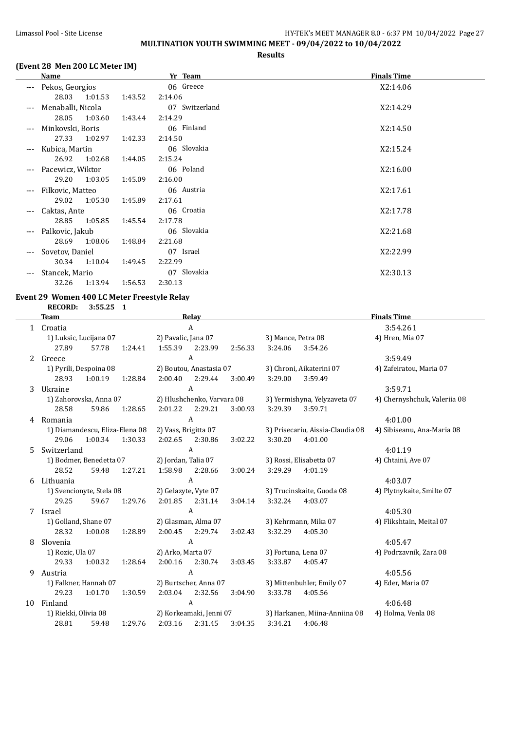## Limassol Pool - Site License **HY-TEK's MEET MANAGER 8.0 - 6:37 PM** 10/04/2022 Page 27 **MULTINATION YOUTH SWIMMING MEET - 09/04/2022 to 10/04/2022**

#### **Results**

#### **(Event 28 Men 200 LC Meter IM)**

|       | <b>Name</b>       |         | Yr Team        | <b>Finals Time</b> |
|-------|-------------------|---------|----------------|--------------------|
| ---   | Pekos, Georgios   |         | 06 Greece      | X2:14.06           |
|       | 28.03 1:01.53     | 1:43.52 | 2:14.06        |                    |
| ---   | Menaballi, Nicola |         | 07 Switzerland | X2:14.29           |
|       | 28.05<br>1:03.60  | 1:43.44 | 2:14.29        |                    |
| $---$ | Minkovski, Boris  |         | 06 Finland     | X2:14.50           |
|       | 27.33 1:02.97     | 1:42.33 | 2:14.50        |                    |
| $---$ | Kubica, Martin    |         | 06 Slovakia    | X2:15.24           |
|       | 26.92<br>1:02.68  | 1:44.05 | 2:15.24        |                    |
| ---   | Pacewicz, Wiktor  |         | 06 Poland      | X2:16.00           |
|       | 29.20 1:03.05     | 1:45.09 | 2:16.00        |                    |
| $---$ | Filkovic, Matteo  |         | 06 Austria     | X2:17.61           |
|       | 29.02<br>1:05.30  | 1:45.89 | 2:17.61        |                    |
|       | Caktas, Ante      |         | 06 Croatia     | X2:17.78           |
|       | 28.85<br>1:05.85  | 1:45.54 | 2:17.78        |                    |
| ---   | Palkovic, Jakub   |         | 06 Slovakia    | X2:21.68           |
|       | 28.69<br>1:08.06  | 1:48.84 | 2:21.68        |                    |
|       | Sovetov, Daniel   |         | 07 Israel      | X2:22.99           |
|       | 30.34 1:10.04     | 1:49.45 | 2:22.99        |                    |
| ---   | Stancek, Mario    |         | 07 Slovakia    | X2:30.13           |
|       | 32.26<br>1:13.94  | 1:56.53 | 2:30.13        |                    |

## **Event 29 Women 400 LC Meter Freestyle Relay**

**RECORD: 3:55.25 1**

|    | <b>Team</b>          | Relay                          |         |                      |                            |         | <b>Finals Time</b>  |                                  |                              |  |
|----|----------------------|--------------------------------|---------|----------------------|----------------------------|---------|---------------------|----------------------------------|------------------------------|--|
|    | 1 Croatia            |                                |         |                      | A                          |         | 3:54.261            |                                  |                              |  |
|    |                      | 1) Luksic, Lucijana 07         |         |                      | 2) Pavalic, Jana 07        |         | 3) Mance, Petra 08  |                                  | 4) Hren, Mia 07              |  |
|    | 27.89                | 57.78                          | 1:24.41 | 1:55.39              | 2:23.99                    | 2:56.33 | 3:24.06             | 3:54.26                          |                              |  |
| 2  | Greece               |                                |         |                      | A                          |         |                     |                                  | 3:59.49                      |  |
|    |                      | 1) Pyrili, Despoina 08         |         |                      | 2) Boutou, Anastasia 07    |         |                     | 3) Chroni, Aikaterini 07         | 4) Zafeiratou, Maria 07      |  |
|    | 28.93                | 1:00.19                        | 1:28.84 | 2:00.40              | 2:29.44                    | 3:00.49 | 3:29.00             | 3:59.49                          |                              |  |
| 3  | Ukraine              |                                |         |                      | $\mathbf{A}$               |         |                     |                                  | 3:59.71                      |  |
|    |                      | 1) Zahorovska, Anna 07         |         |                      | 2) Hlushchenko, Varvara 08 |         |                     | 3) Yermishyna, Yelyzaveta 07     | 4) Chernyshchuk, Valeriia 08 |  |
|    | 28.58                | 59.86                          | 1:28.65 | 2:01.22              | 2:29.21                    | 3:00.93 | 3:29.39             | 3:59.71                          |                              |  |
| 4  | Romania              |                                |         |                      | $\mathbf{A}$               |         |                     |                                  | 4:01.00                      |  |
|    |                      | 1) Diamandescu, Eliza-Elena 08 |         | 2) Vass, Brigitta 07 |                            |         |                     | 3) Prisecariu, Aissia-Claudia 08 | 4) Sibiseanu, Ana-Maria 08   |  |
|    | 29.06                | 1:00.34                        | 1:30.33 | 2:02.65              | 2:30.86                    | 3:02.22 | 3:30.20             | 4:01.00                          |                              |  |
| 5. | Switzerland          |                                |         |                      | A                          |         |                     |                                  | 4:01.19                      |  |
|    |                      | 1) Bodmer, Benedetta 07        |         | 2) Jordan, Talia 07  |                            |         |                     | 3) Rossi, Elisabetta 07          | 4) Chtaini, Ave 07           |  |
|    | 28.52                | 59.48                          | 1:27.21 | 1:58.98              | 2:28.66                    | 3:00.24 | 3:29.29             | 4:01.19                          |                              |  |
| 6  | Lithuania            |                                |         |                      | $\mathbf{A}$               |         |                     |                                  | 4:03.07                      |  |
|    |                      | 1) Svencionyte, Stela 08       |         |                      | 2) Gelazyte, Vyte 07       |         |                     | 3) Trucinskaite, Guoda 08        | 4) Plytnykaite, Smilte 07    |  |
|    | 29.25                | 59.67                          | 1:29.76 | 2:01.85              | 2:31.14                    | 3:04.14 | 3:32.24             | 4:03.07                          |                              |  |
| 7  | Israel               |                                |         |                      | $\mathsf{A}$               |         |                     |                                  | 4:05.30                      |  |
|    | 1) Golland, Shane 07 |                                |         |                      | 2) Glasman, Alma 07        |         |                     | 3) Kehrmann, Mika 07             | 4) Flikshtain, Meital 07     |  |
|    | 28.32                | 1:00.08                        | 1:28.89 | 2:00.45              | 2:29.74                    | 3:02.43 | 3:32.29             | 4:05.30                          |                              |  |
| 8  | Slovenia             |                                |         |                      | $\mathbf{A}$               |         |                     |                                  | 4:05.47                      |  |
|    | 1) Rozic, Ula 07     |                                |         | 2) Arko, Marta 07    |                            |         | 3) Fortuna, Lena 07 |                                  | 4) Podrzavnik, Zara 08       |  |
|    | 29.33                | 1:00.32                        | 1:28.64 |                      | 2:00.16 2:30.74            | 3:03.45 | 3:33.87             | 4:05.47                          |                              |  |
| 9  | Austria              |                                |         |                      | A                          |         |                     |                                  | 4:05.56                      |  |
|    |                      | 1) Falkner, Hannah 07          |         |                      | 2) Burtscher, Anna 07      |         |                     | 3) Mittenbuhler, Emily 07        | 4) Eder, Maria 07            |  |
|    | 29.23                | 1:01.70                        | 1:30.59 | 2:03.04              | 2:32.56                    | 3:04.90 | 3:33.78             | 4:05.56                          |                              |  |
| 10 | Finland              |                                |         |                      | A                          |         |                     |                                  | 4:06.48                      |  |
|    | 1) Riekki, Olivia 08 |                                |         |                      | 2) Korkeamaki, Jenni 07    |         |                     | 3) Harkanen, Miina-Anniina 08    | 4) Holma, Venla 08           |  |
|    | 28.81                | 59.48                          | 1:29.76 | 2:03.16              | 2:31.45                    | 3:04.35 | 3:34.21             | 4:06.48                          |                              |  |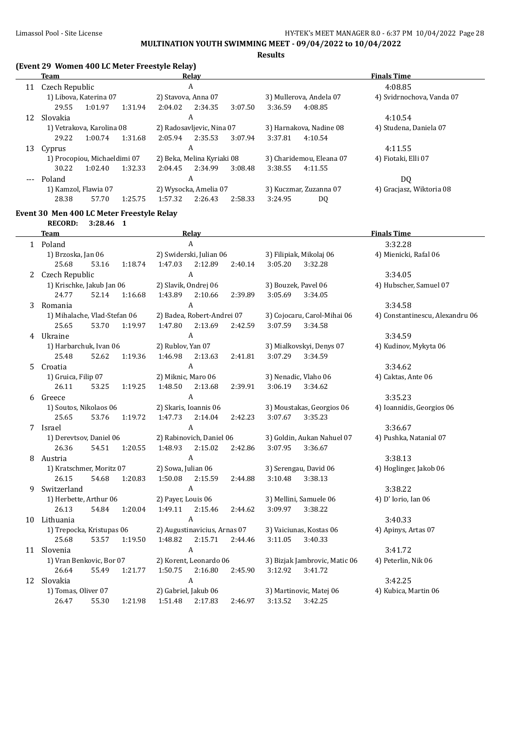**MULTINATION YOUTH SWIMMING MEET - 09/04/2022 to 10/04/2022**

**Results**

#### **(Event 29 Women 400 LC Meter Freestyle Relay)**

|       | Team           |                              |         | Relav                      |         |         | <b>Finals Time</b>       |                         |                           |  |
|-------|----------------|------------------------------|---------|----------------------------|---------|---------|--------------------------|-------------------------|---------------------------|--|
| 11    | Czech Republic |                              |         | A                          |         |         | 4:08.85                  |                         |                           |  |
|       |                | 1) Libova, Katerina 07       |         | 2) Stavova, Anna 07        |         |         |                          | 3) Mullerova, Andela 07 | 4) Svidrnochova, Vanda 07 |  |
|       | 29.55          | 1:01.97                      | 1:31.94 | 2:04.02                    | 2:34.35 | 3:07.50 | 3:36.59                  | 4:08.85                 |                           |  |
| 12    | Slovakia       |                              |         |                            | A       |         |                          |                         | 4:10.54                   |  |
|       |                | 1) Vetrakova, Karolina 08    |         | 2) Radosavljevic, Nina 07  |         |         |                          | 3) Harnakova, Nadine 08 | 4) Studena, Daniela 07    |  |
|       | 29.22          | 1:00.74                      | 1:31.68 | 2:05.94                    | 2:35.53 | 3:07.94 | 3:37.81                  | 4:10.54                 |                           |  |
| 13    | Cyprus         |                              |         |                            | A       |         |                          |                         | 4:11.55                   |  |
|       |                | 1) Procopiou, Michaeldimi 07 |         | 2) Beka, Melina Kyriaki 08 |         |         | 3) Charidemou, Eleana 07 |                         | 4) Fiotaki, Elli 07       |  |
|       | 30.22          | 1:02.40                      | 1:32.33 | 2:04.45                    | 2:34.99 | 3:08.48 | 3:38.55                  | 4:11.55                 |                           |  |
| $---$ | Poland         |                              |         |                            | A       |         |                          |                         | DQ                        |  |
|       |                | 1) Kamzol, Flawia 07         |         | 2) Wysocka, Amelia 07      |         |         | 3) Kuczmar, Zuzanna 07   |                         | 4) Graciasz, Wiktoria 08  |  |
|       | 28.38          | 57.70                        | 1:25.75 | 1:57.32                    | 2:26.43 | 2:58.33 | 3:24.95                  | DQ                      |                           |  |

#### **Event 30 Men 400 LC Meter Freestyle Relay**

**RECORD: 3:28.46 1 Team Relay Finals Time** 1 Poland 3:32.28 1) Brzoska, Jan 06 2) Swiderski, Julian 06 3) Filipiak, Mikolaj 06 4) Mienicki, Rafal 06 25.68 53.16 1:18.74 1:47.03 2:12.89 2:40.14 3:05.20 3:32.28 2 Czech Republic A 3:34.05 1) Krischke, Jakub Jan 06 2) Slavik, Ondrej 06 3) Bouzek, Pavel 06 4) Hubscher, Samuel 07 24.77 52.14 1:16.68 1:43.89 2:10.66 2:39.89 3:05.69 3:34.05 3 Romania A 3:34.58 1) Mihalache, Vlad-Stefan 06 2) Badea, Robert-Andrei 07 3) Cojocaru, Carol-Mihai 06 4) Constantinescu, Alexandru 06 25.65 53.70 1:19.97 1:47.80 2:13.69 2:42.59 3:07.59 3:34.58 4 Ukraine 3:34.59 1) Harbarchuk, Ivan 06 2) Rublov, Yan 07 3) Mialkovskyi, Denys 07 4) Kudinov, Mykyta 06 25.48 52.62 1:19.36 1:46.98 2:13.63 2:41.81 3:07.29 3:34.59 5 Croatia A 3:34.62 1) Gruica, Filip 07 2) Miknic, Maro 06 3) Nenadic, Vlaho 06 4) Caktas, Ante 06 26.11 53.25 1:19.25 1:48.50 2:13.68 2:39.91 3:06.19 3:34.62 6 Greece  $A$  3:35.23 1) Soutos, Nikolaos 06 2) Skaris, Ioannis 06 3) Moustakas, Georgios 06 4) Ioannidis, Georgios 06 25.65 53.76 1:19.72 1:47.73 2:14.04 2:42.23 3:07.67 3:35.23 7 Israel A 3:36.67 1) Derevtsov, Daniel 06 2) Rabinovich, Daniel 06 3) Goldin, Aukan Nahuel 07 4) Pushka, Natanial 07 26.36 54.51 1:20.55 1:48.93 2:15.02 2:42.86 3:07.95 3:36.67 8 Austria 3:38.13 1) Kratschmer, Moritz 07 2) Sowa, Julian 06 3) Serengau, David 06 4) Hoglinger, Jakob 06 26.15 54.68 1:20.83 1:50.08 2:15.59 2:44.88 3:10.48 3:38.13 9 Switzerland A 3:38.22 1) Herbette, Arthur 06 2) Payer, Louis 06 3) Mellini, Samuele 06 4) D' Iorio, Ian 06 26.13 54.84 1:20.04 1:49.11 2:15.46 2:44.62 3:09.97 3:38.22 10 Lithuania A 3:40.33 1) Trepocka, Kristupas 06 2) Augustinavicius, Arnas 07 3) Vaiciunas, Kostas 06 4) Apinys, Artas 07<br>25.68 53.57 1:19.50 1:48.82 2:15.71 2:44.46 3:11.05 3:40.33 25.68 53.57 1:19.50 1:48.82 2:15.71 2:44.46 11 Slovenia A 3:41.72 1) Vran Benkovic, Bor 07 2) Korent, Leonardo 06 3) Bizjak Jambrovic, Matic 06 4) Peterlin, Nik 06 26.64 55.49 1:21.77 1:50.75 2:16.80 2:45.90 3:12.92 3:41.72 12 Slovakia A 3:42.25 1) Tomas, Oliver 07 2) Gabriel, Jakub 06 3) Martinovic, Matej 06 4) Kubica, Martin 06 26.47 55.30 1:21.98 1:51.48 2:17.83 2:46.97 3:13.52 3:42.25